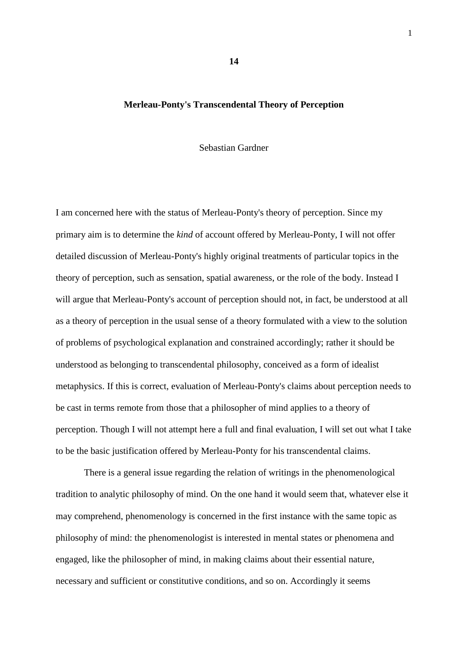#### **Merleau-Ponty's Transcendental Theory of Perception**

**14**

Sebastian Gardner

I am concerned here with the status of Merleau-Ponty's theory of perception. Since my primary aim is to determine the *kind* of account offered by Merleau-Ponty, I will not offer detailed discussion of Merleau-Ponty's highly original treatments of particular topics in the theory of perception, such as sensation, spatial awareness, or the role of the body. Instead I will argue that Merleau-Ponty's account of perception should not, in fact, be understood at all as a theory of perception in the usual sense of a theory formulated with a view to the solution of problems of psychological explanation and constrained accordingly; rather it should be understood as belonging to transcendental philosophy, conceived as a form of idealist metaphysics. If this is correct, evaluation of Merleau-Ponty's claims about perception needs to be cast in terms remote from those that a philosopher of mind applies to a theory of perception. Though I will not attempt here a full and final evaluation, I will set out what I take to be the basic justification offered by Merleau-Ponty for his transcendental claims.

There is a general issue regarding the relation of writings in the phenomenological tradition to analytic philosophy of mind. On the one hand it would seem that, whatever else it may comprehend, phenomenology is concerned in the first instance with the same topic as philosophy of mind: the phenomenologist is interested in mental states or phenomena and engaged, like the philosopher of mind, in making claims about their essential nature, necessary and sufficient or constitutive conditions, and so on. Accordingly it seems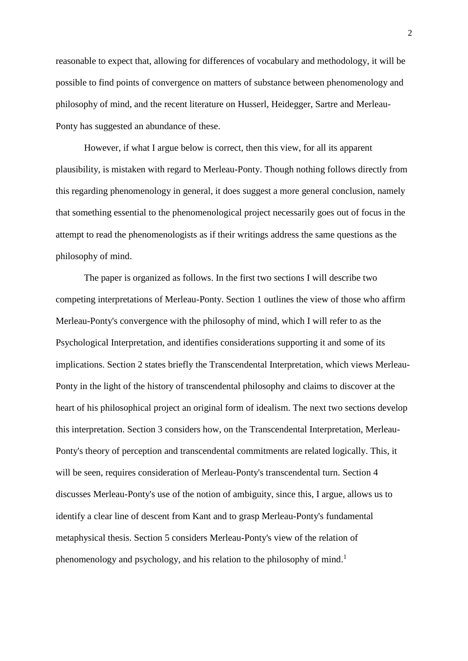reasonable to expect that, allowing for differences of vocabulary and methodology, it will be possible to find points of convergence on matters of substance between phenomenology and philosophy of mind, and the recent literature on Husserl, Heidegger, Sartre and Merleau-Ponty has suggested an abundance of these.

However, if what I argue below is correct, then this view, for all its apparent plausibility, is mistaken with regard to Merleau-Ponty. Though nothing follows directly from this regarding phenomenology in general, it does suggest a more general conclusion, namely that something essential to the phenomenological project necessarily goes out of focus in the attempt to read the phenomenologists as if their writings address the same questions as the philosophy of mind.

The paper is organized as follows. In the first two sections I will describe two competing interpretations of Merleau-Ponty. Section 1 outlines the view of those who affirm Merleau-Ponty's convergence with the philosophy of mind, which I will refer to as the Psychological Interpretation, and identifies considerations supporting it and some of its implications. Section 2 states briefly the Transcendental Interpretation, which views Merleau-Ponty in the light of the history of transcendental philosophy and claims to discover at the heart of his philosophical project an original form of idealism. The next two sections develop this interpretation. Section 3 considers how, on the Transcendental Interpretation, Merleau-Ponty's theory of perception and transcendental commitments are related logically. This, it will be seen, requires consideration of Merleau-Ponty's transcendental turn. Section 4 discusses Merleau-Ponty's use of the notion of ambiguity, since this, I argue, allows us to identify a clear line of descent from Kant and to grasp Merleau-Ponty's fundamental metaphysical thesis. Section 5 considers Merleau-Ponty's view of the relation of phenomenology and psychology, and his relation to the philosophy of mind.<sup>1</sup>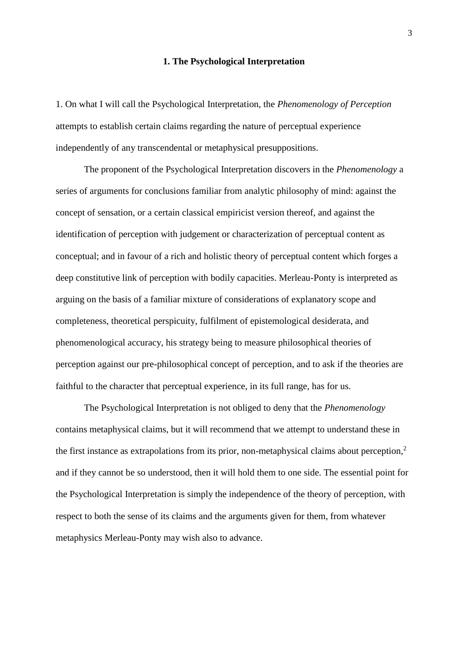### **1. The Psychological Interpretation**

1. On what I will call the Psychological Interpretation, the *Phenomenology of Perception* attempts to establish certain claims regarding the nature of perceptual experience independently of any transcendental or metaphysical presuppositions.

The proponent of the Psychological Interpretation discovers in the *Phenomenology* a series of arguments for conclusions familiar from analytic philosophy of mind: against the concept of sensation, or a certain classical empiricist version thereof, and against the identification of perception with judgement or characterization of perceptual content as conceptual; and in favour of a rich and holistic theory of perceptual content which forges a deep constitutive link of perception with bodily capacities. Merleau-Ponty is interpreted as arguing on the basis of a familiar mixture of considerations of explanatory scope and completeness, theoretical perspicuity, fulfilment of epistemological desiderata, and phenomenological accuracy, his strategy being to measure philosophical theories of perception against our pre-philosophical concept of perception, and to ask if the theories are faithful to the character that perceptual experience, in its full range, has for us.

The Psychological Interpretation is not obliged to deny that the *Phenomenology* contains metaphysical claims, but it will recommend that we attempt to understand these in the first instance as extrapolations from its prior, non-metaphysical claims about perception,<sup>2</sup> and if they cannot be so understood, then it will hold them to one side. The essential point for the Psychological Interpretation is simply the independence of the theory of perception, with respect to both the sense of its claims and the arguments given for them, from whatever metaphysics Merleau-Ponty may wish also to advance.

3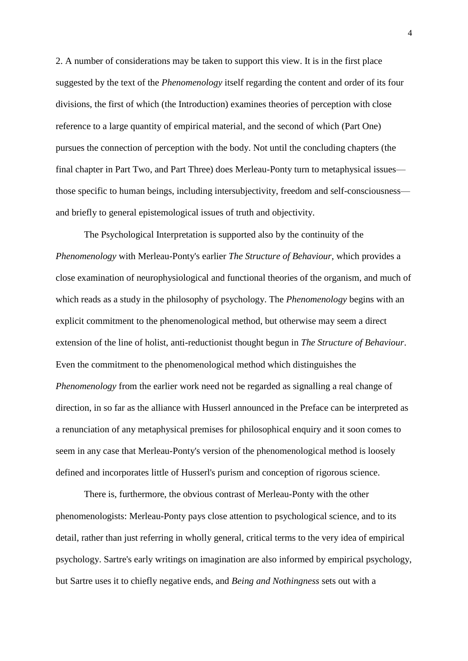2. A number of considerations may be taken to support this view. It is in the first place suggested by the text of the *Phenomenology* itself regarding the content and order of its four divisions, the first of which (the Introduction) examines theories of perception with close reference to a large quantity of empirical material, and the second of which (Part One) pursues the connection of perception with the body. Not until the concluding chapters (the final chapter in Part Two, and Part Three) does Merleau-Ponty turn to metaphysical issues those specific to human beings, including intersubjectivity, freedom and self-consciousness and briefly to general epistemological issues of truth and objectivity.

The Psychological Interpretation is supported also by the continuity of the *Phenomenology* with Merleau-Ponty's earlier *The Structure of Behaviour*, which provides a close examination of neurophysiological and functional theories of the organism, and much of which reads as a study in the philosophy of psychology. The *Phenomenology* begins with an explicit commitment to the phenomenological method, but otherwise may seem a direct extension of the line of holist, anti-reductionist thought begun in *The Structure of Behaviour*. Even the commitment to the phenomenological method which distinguishes the *Phenomenology* from the earlier work need not be regarded as signalling a real change of direction, in so far as the alliance with Husserl announced in the Preface can be interpreted as a renunciation of any metaphysical premises for philosophical enquiry and it soon comes to seem in any case that Merleau-Ponty's version of the phenomenological method is loosely defined and incorporates little of Husserl's purism and conception of rigorous science.

There is, furthermore, the obvious contrast of Merleau-Ponty with the other phenomenologists: Merleau-Ponty pays close attention to psychological science, and to its detail, rather than just referring in wholly general, critical terms to the very idea of empirical psychology. Sartre's early writings on imagination are also informed by empirical psychology, but Sartre uses it to chiefly negative ends, and *Being and Nothingness* sets out with a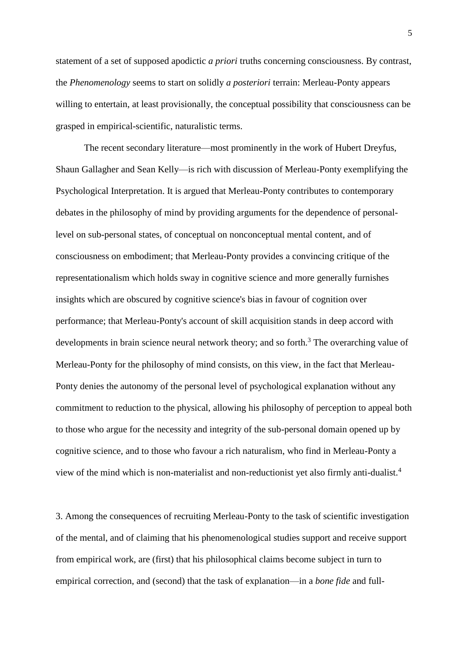statement of a set of supposed apodictic *a priori* truths concerning consciousness. By contrast, the *Phenomenology* seems to start on solidly *a posteriori* terrain: Merleau-Ponty appears willing to entertain, at least provisionally, the conceptual possibility that consciousness can be grasped in empirical-scientific, naturalistic terms.

The recent secondary literature—most prominently in the work of Hubert Dreyfus, Shaun Gallagher and Sean Kelly—is rich with discussion of Merleau-Ponty exemplifying the Psychological Interpretation. It is argued that Merleau-Ponty contributes to contemporary debates in the philosophy of mind by providing arguments for the dependence of personallevel on sub-personal states, of conceptual on nonconceptual mental content, and of consciousness on embodiment; that Merleau-Ponty provides a convincing critique of the representationalism which holds sway in cognitive science and more generally furnishes insights which are obscured by cognitive science's bias in favour of cognition over performance; that Merleau-Ponty's account of skill acquisition stands in deep accord with developments in brain science neural network theory; and so forth.<sup>3</sup> The overarching value of Merleau-Ponty for the philosophy of mind consists, on this view, in the fact that Merleau-Ponty denies the autonomy of the personal level of psychological explanation without any commitment to reduction to the physical, allowing his philosophy of perception to appeal both to those who argue for the necessity and integrity of the sub-personal domain opened up by cognitive science, and to those who favour a rich naturalism, who find in Merleau-Ponty a view of the mind which is non-materialist and non-reductionist yet also firmly anti-dualist.<sup>4</sup>

3. Among the consequences of recruiting Merleau-Ponty to the task of scientific investigation of the mental, and of claiming that his phenomenological studies support and receive support from empirical work, are (first) that his philosophical claims become subject in turn to empirical correction, and (second) that the task of explanation—in a *bone fide* and full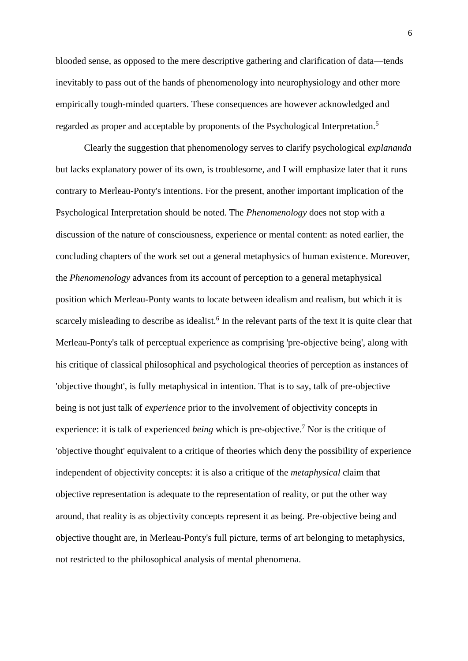blooded sense, as opposed to the mere descriptive gathering and clarification of data—tends inevitably to pass out of the hands of phenomenology into neurophysiology and other more empirically tough-minded quarters. These consequences are however acknowledged and regarded as proper and acceptable by proponents of the Psychological Interpretation.<sup>5</sup>

Clearly the suggestion that phenomenology serves to clarify psychological *explananda* but lacks explanatory power of its own, is troublesome, and I will emphasize later that it runs contrary to Merleau-Ponty's intentions. For the present, another important implication of the Psychological Interpretation should be noted. The *Phenomenology* does not stop with a discussion of the nature of consciousness, experience or mental content: as noted earlier, the concluding chapters of the work set out a general metaphysics of human existence. Moreover, the *Phenomenology* advances from its account of perception to a general metaphysical position which Merleau-Ponty wants to locate between idealism and realism, but which it is scarcely misleading to describe as idealist.<sup>6</sup> In the relevant parts of the text it is quite clear that Merleau-Ponty's talk of perceptual experience as comprising 'pre-objective being', along with his critique of classical philosophical and psychological theories of perception as instances of 'objective thought', is fully metaphysical in intention. That is to say, talk of pre-objective being is not just talk of *experience* prior to the involvement of objectivity concepts in experience: it is talk of experienced *being* which is pre-objective.<sup>7</sup> Nor is the critique of 'objective thought' equivalent to a critique of theories which deny the possibility of experience independent of objectivity concepts: it is also a critique of the *metaphysical* claim that objective representation is adequate to the representation of reality, or put the other way around, that reality is as objectivity concepts represent it as being. Pre-objective being and objective thought are, in Merleau-Ponty's full picture, terms of art belonging to metaphysics, not restricted to the philosophical analysis of mental phenomena.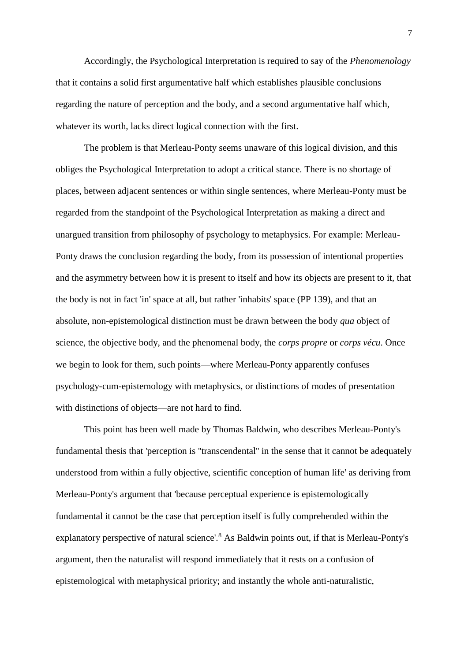Accordingly, the Psychological Interpretation is required to say of the *Phenomenology* that it contains a solid first argumentative half which establishes plausible conclusions regarding the nature of perception and the body, and a second argumentative half which, whatever its worth, lacks direct logical connection with the first.

The problem is that Merleau-Ponty seems unaware of this logical division, and this obliges the Psychological Interpretation to adopt a critical stance. There is no shortage of places, between adjacent sentences or within single sentences, where Merleau-Ponty must be regarded from the standpoint of the Psychological Interpretation as making a direct and unargued transition from philosophy of psychology to metaphysics. For example: Merleau-Ponty draws the conclusion regarding the body, from its possession of intentional properties and the asymmetry between how it is present to itself and how its objects are present to it, that the body is not in fact 'in' space at all, but rather 'inhabits' space (PP 139), and that an absolute, non-epistemological distinction must be drawn between the body *qua* object of science, the objective body, and the phenomenal body, the *corps propre* or *corps vécu*. Once we begin to look for them, such points—where Merleau-Ponty apparently confuses psychology-cum-epistemology with metaphysics, or distinctions of modes of presentation with distinctions of objects—are not hard to find.

This point has been well made by Thomas Baldwin, who describes Merleau-Ponty's fundamental thesis that 'perception is ''transcendental'' in the sense that it cannot be adequately understood from within a fully objective, scientific conception of human life' as deriving from Merleau-Ponty's argument that 'because perceptual experience is epistemologically fundamental it cannot be the case that perception itself is fully comprehended within the explanatory perspective of natural science'.<sup>8</sup> As Baldwin points out, if that is Merleau-Ponty's argument, then the naturalist will respond immediately that it rests on a confusion of epistemological with metaphysical priority; and instantly the whole anti-naturalistic,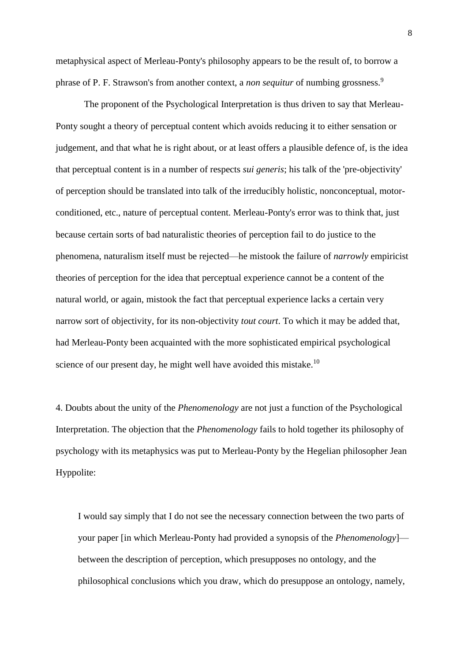metaphysical aspect of Merleau-Ponty's philosophy appears to be the result of, to borrow a phrase of P. F. Strawson's from another context, a *non sequitur* of numbing grossness.<sup>9</sup>

The proponent of the Psychological Interpretation is thus driven to say that Merleau-Ponty sought a theory of perceptual content which avoids reducing it to either sensation or judgement, and that what he is right about, or at least offers a plausible defence of, is the idea that perceptual content is in a number of respects *sui generis*; his talk of the 'pre-objectivity' of perception should be translated into talk of the irreducibly holistic, nonconceptual, motorconditioned, etc., nature of perceptual content. Merleau-Ponty's error was to think that, just because certain sorts of bad naturalistic theories of perception fail to do justice to the phenomena, naturalism itself must be rejected—he mistook the failure of *narrowly* empiricist theories of perception for the idea that perceptual experience cannot be a content of the natural world, or again, mistook the fact that perceptual experience lacks a certain very narrow sort of objectivity, for its non-objectivity *tout court*. To which it may be added that, had Merleau-Ponty been acquainted with the more sophisticated empirical psychological science of our present day, he might well have avoided this mistake.<sup>10</sup>

4. Doubts about the unity of the *Phenomenology* are not just a function of the Psychological Interpretation. The objection that the *Phenomenology* fails to hold together its philosophy of psychology with its metaphysics was put to Merleau-Ponty by the Hegelian philosopher Jean Hyppolite:

I would say simply that I do not see the necessary connection between the two parts of your paper [in which Merleau-Ponty had provided a synopsis of the *Phenomenology*] between the description of perception, which presupposes no ontology, and the philosophical conclusions which you draw, which do presuppose an ontology, namely,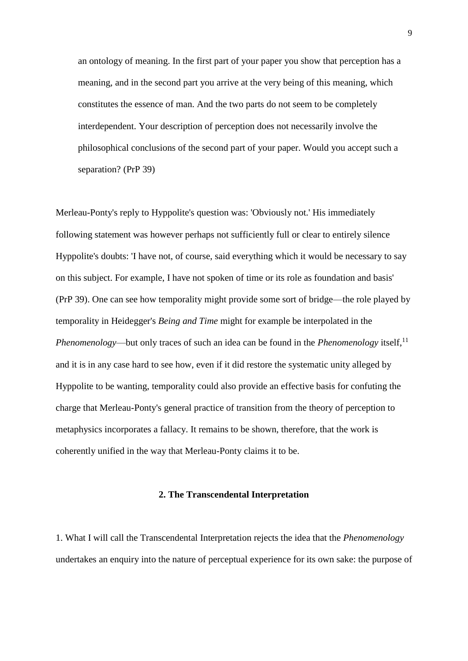an ontology of meaning. In the first part of your paper you show that perception has a meaning, and in the second part you arrive at the very being of this meaning, which constitutes the essence of man. And the two parts do not seem to be completely interdependent. Your description of perception does not necessarily involve the philosophical conclusions of the second part of your paper. Would you accept such a separation? (PrP 39)

Merleau-Ponty's reply to Hyppolite's question was: 'Obviously not.' His immediately following statement was however perhaps not sufficiently full or clear to entirely silence Hyppolite's doubts: 'I have not, of course, said everything which it would be necessary to say on this subject. For example, I have not spoken of time or its role as foundation and basis' (PrP 39). One can see how temporality might provide some sort of bridge—the role played by temporality in Heidegger's *Being and Time* might for example be interpolated in the *Phenomenology*—but only traces of such an idea can be found in the *Phenomenology* itself,<sup>11</sup> and it is in any case hard to see how, even if it did restore the systematic unity alleged by Hyppolite to be wanting, temporality could also provide an effective basis for confuting the charge that Merleau-Ponty's general practice of transition from the theory of perception to metaphysics incorporates a fallacy. It remains to be shown, therefore, that the work is coherently unified in the way that Merleau-Ponty claims it to be.

# **2. The Transcendental Interpretation**

1. What I will call the Transcendental Interpretation rejects the idea that the *Phenomenology* undertakes an enquiry into the nature of perceptual experience for its own sake: the purpose of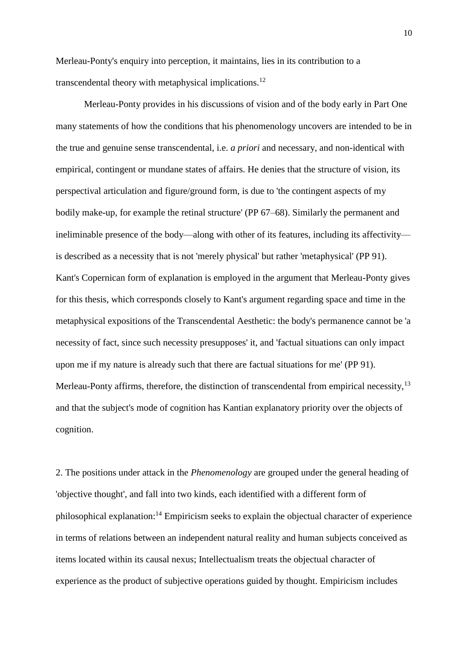Merleau-Ponty's enquiry into perception, it maintains, lies in its contribution to a transcendental theory with metaphysical implications.<sup>12</sup>

Merleau-Ponty provides in his discussions of vision and of the body early in Part One many statements of how the conditions that his phenomenology uncovers are intended to be in the true and genuine sense transcendental, i.e. *a priori* and necessary, and non-identical with empirical, contingent or mundane states of affairs. He denies that the structure of vision, its perspectival articulation and figure/ground form, is due to 'the contingent aspects of my bodily make-up, for example the retinal structure' (PP 67–68). Similarly the permanent and ineliminable presence of the body—along with other of its features, including its affectivity is described as a necessity that is not 'merely physical' but rather 'metaphysical' (PP 91). Kant's Copernican form of explanation is employed in the argument that Merleau-Ponty gives for this thesis, which corresponds closely to Kant's argument regarding space and time in the metaphysical expositions of the Transcendental Aesthetic: the body's permanence cannot be 'a necessity of fact, since such necessity presupposes' it, and 'factual situations can only impact upon me if my nature is already such that there are factual situations for me' (PP 91). Merleau-Ponty affirms, therefore, the distinction of transcendental from empirical necessity,  $13$ and that the subject's mode of cognition has Kantian explanatory priority over the objects of cognition.

2. The positions under attack in the *Phenomenology* are grouped under the general heading of 'objective thought', and fall into two kinds, each identified with a different form of philosophical explanation:<sup>14</sup> Empiricism seeks to explain the objectual character of experience in terms of relations between an independent natural reality and human subjects conceived as items located within its causal nexus; Intellectualism treats the objectual character of experience as the product of subjective operations guided by thought. Empiricism includes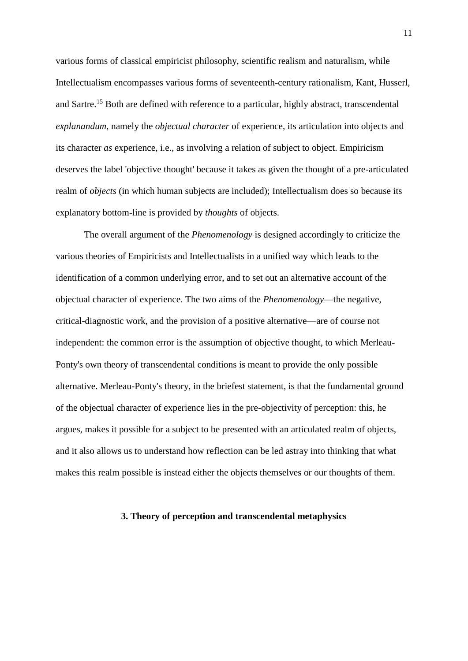various forms of classical empiricist philosophy, scientific realism and naturalism, while Intellectualism encompasses various forms of seventeenth-century rationalism, Kant, Husserl, and Sartre.<sup>15</sup> Both are defined with reference to a particular, highly abstract, transcendental *explanandum*, namely the *objectual character* of experience, its articulation into objects and its character *as* experience, i.e., as involving a relation of subject to object. Empiricism deserves the label 'objective thought' because it takes as given the thought of a pre-articulated realm of *objects* (in which human subjects are included); Intellectualism does so because its explanatory bottom-line is provided by *thoughts* of objects.

The overall argument of the *Phenomenology* is designed accordingly to criticize the various theories of Empiricists and Intellectualists in a unified way which leads to the identification of a common underlying error, and to set out an alternative account of the objectual character of experience. The two aims of the *Phenomenology*—the negative, critical-diagnostic work, and the provision of a positive alternative—are of course not independent: the common error is the assumption of objective thought, to which Merleau-Ponty's own theory of transcendental conditions is meant to provide the only possible alternative. Merleau-Ponty's theory, in the briefest statement, is that the fundamental ground of the objectual character of experience lies in the pre-objectivity of perception: this, he argues, makes it possible for a subject to be presented with an articulated realm of objects, and it also allows us to understand how reflection can be led astray into thinking that what makes this realm possible is instead either the objects themselves or our thoughts of them.

## **3. Theory of perception and transcendental metaphysics**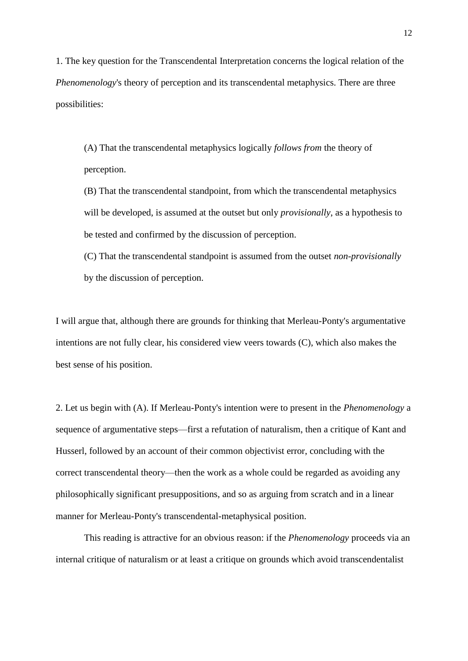1. The key question for the Transcendental Interpretation concerns the logical relation of the *Phenomenology*'s theory of perception and its transcendental metaphysics. There are three possibilities:

(A) That the transcendental metaphysics logically *follows from* the theory of perception.

(B) That the transcendental standpoint, from which the transcendental metaphysics will be developed, is assumed at the outset but only *provisionally*, as a hypothesis to be tested and confirmed by the discussion of perception.

(C) That the transcendental standpoint is assumed from the outset *non-provisionally* by the discussion of perception.

I will argue that, although there are grounds for thinking that Merleau-Ponty's argumentative intentions are not fully clear, his considered view veers towards (C), which also makes the best sense of his position.

2. Let us begin with (A). If Merleau-Ponty's intention were to present in the *Phenomenology* a sequence of argumentative steps—first a refutation of naturalism, then a critique of Kant and Husserl, followed by an account of their common objectivist error, concluding with the correct transcendental theory—then the work as a whole could be regarded as avoiding any philosophically significant presuppositions, and so as arguing from scratch and in a linear manner for Merleau-Ponty's transcendental-metaphysical position.

This reading is attractive for an obvious reason: if the *Phenomenology* proceeds via an internal critique of naturalism or at least a critique on grounds which avoid transcendentalist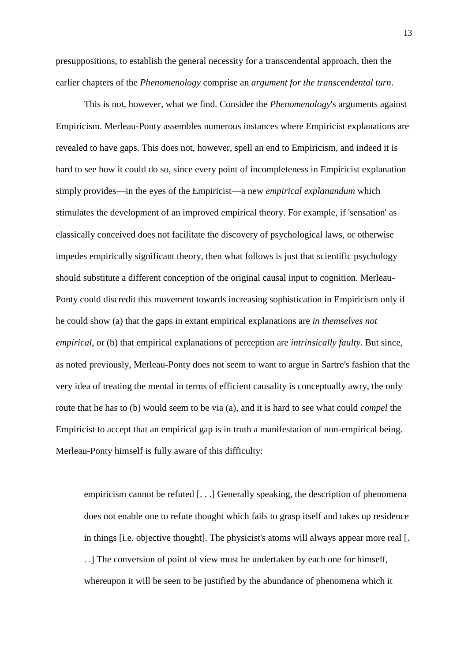presuppositions, to establish the general necessity for a transcendental approach, then the earlier chapters of the *Phenomenology* comprise an *argument for the transcendental turn*.

This is not, however, what we find. Consider the *Phenomenology*'s arguments against Empiricism. Merleau-Ponty assembles numerous instances where Empiricist explanations are revealed to have gaps. This does not, however, spell an end to Empiricism, and indeed it is hard to see how it could do so, since every point of incompleteness in Empiricist explanation simply provides—in the eyes of the Empiricist—a new *empirical explanandum* which stimulates the development of an improved empirical theory. For example, if 'sensation' as classically conceived does not facilitate the discovery of psychological laws, or otherwise impedes empirically significant theory, then what follows is just that scientific psychology should substitute a different conception of the original causal input to cognition. Merleau-Ponty could discredit this movement towards increasing sophistication in Empiricism only if he could show (a) that the gaps in extant empirical explanations are *in themselves not empirical*, or (b) that empirical explanations of perception are *intrinsically faulty*. But since, as noted previously, Merleau-Ponty does not seem to want to argue in Sartre's fashion that the very idea of treating the mental in terms of efficient causality is conceptually awry, the only route that he has to (b) would seem to be via (a), and it is hard to see what could *compel* the Empiricist to accept that an empirical gap is in truth a manifestation of non-empirical being. Merleau-Ponty himself is fully aware of this difficulty:

empiricism cannot be refuted [. . .] Generally speaking, the description of phenomena does not enable one to refute thought which fails to grasp itself and takes up residence in things [i.e. objective thought]. The physicist's atoms will always appear more real [. . .] The conversion of point of view must be undertaken by each one for himself, whereupon it will be seen to be justified by the abundance of phenomena which it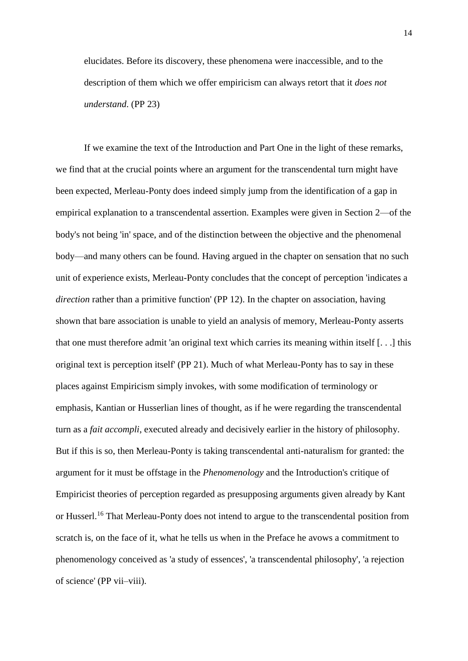elucidates. Before its discovery, these phenomena were inaccessible, and to the description of them which we offer empiricism can always retort that it *does not understand*. (PP 23)

If we examine the text of the Introduction and Part One in the light of these remarks, we find that at the crucial points where an argument for the transcendental turn might have been expected, Merleau-Ponty does indeed simply jump from the identification of a gap in empirical explanation to a transcendental assertion. Examples were given in Section 2—of the body's not being 'in' space, and of the distinction between the objective and the phenomenal body—and many others can be found. Having argued in the chapter on sensation that no such unit of experience exists, Merleau-Ponty concludes that the concept of perception 'indicates a *direction* rather than a primitive function' (PP 12). In the chapter on association, having shown that bare association is unable to yield an analysis of memory, Merleau-Ponty asserts that one must therefore admit 'an original text which carries its meaning within itself [. . .] this original text is perception itself' (PP 21). Much of what Merleau-Ponty has to say in these places against Empiricism simply invokes, with some modification of terminology or emphasis, Kantian or Husserlian lines of thought, as if he were regarding the transcendental turn as a *fait accompli*, executed already and decisively earlier in the history of philosophy. But if this is so, then Merleau-Ponty is taking transcendental anti-naturalism for granted: the argument for it must be offstage in the *Phenomenology* and the Introduction's critique of Empiricist theories of perception regarded as presupposing arguments given already by Kant or Husserl.<sup>16</sup> That Merleau-Ponty does not intend to argue to the transcendental position from scratch is, on the face of it, what he tells us when in the Preface he avows a commitment to phenomenology conceived as 'a study of essences', 'a transcendental philosophy', 'a rejection of science' (PP vii–viii).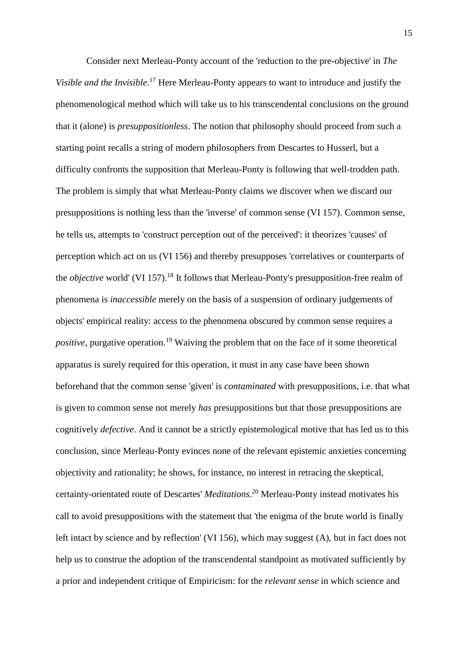Consider next Merleau-Ponty account of the 'reduction to the pre-objective' in *The Visible and the Invisible*. <sup>17</sup> Here Merleau-Ponty appears to want to introduce and justify the phenomenological method which will take us to his transcendental conclusions on the ground that it (alone) is *presuppositionless*. The notion that philosophy should proceed from such a starting point recalls a string of modern philosophers from Descartes to Husserl, but a difficulty confronts the supposition that Merleau-Ponty is following that well-trodden path. The problem is simply that what Merleau-Ponty claims we discover when we discard our presuppositions is nothing less than the 'inverse' of common sense (VI 157). Common sense, he tells us, attempts to 'construct perception out of the perceived': it theorizes 'causes' of perception which act on us (VI 156) and thereby presupposes 'correlatives or counterparts of the *objective* world' (VI 157).<sup>18</sup> It follows that Merleau-Ponty's presupposition-free realm of phenomena is *inaccessible* merely on the basis of a suspension of ordinary judgements of objects' empirical reality: access to the phenomena obscured by common sense requires a *positive*, purgative operation.<sup>19</sup> Waiving the problem that on the face of it some theoretical apparatus is surely required for this operation, it must in any case have been shown beforehand that the common sense 'given' is *contaminated* with presuppositions, i.e. that what is given to common sense not merely *has* presuppositions but that those presuppositions are cognitively *defective*. And it cannot be a strictly epistemological motive that has led us to this conclusion, since Merleau-Ponty evinces none of the relevant epistemic anxieties concerning objectivity and rationality; he shows, for instance, no interest in retracing the skeptical, certainty-orientated route of Descartes' *Meditations*. <sup>20</sup> Merleau-Ponty instead motivates his call to avoid presuppositions with the statement that 'the enigma of the brute world is finally left intact by science and by reflection' (VI 156), which may suggest (A), but in fact does not help us to construe the adoption of the transcendental standpoint as motivated sufficiently by a prior and independent critique of Empiricism: for the *relevant sense* in which science and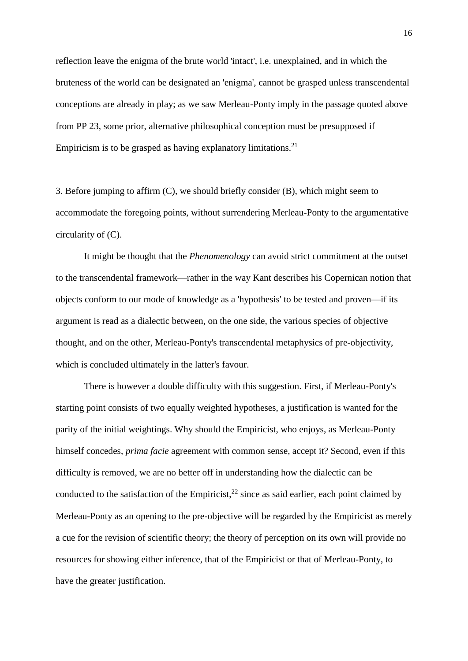reflection leave the enigma of the brute world 'intact', i.e. unexplained, and in which the bruteness of the world can be designated an 'enigma', cannot be grasped unless transcendental conceptions are already in play; as we saw Merleau-Ponty imply in the passage quoted above from PP 23, some prior, alternative philosophical conception must be presupposed if Empiricism is to be grasped as having explanatory limitations.<sup>21</sup>

3. Before jumping to affirm (C), we should briefly consider (B), which might seem to accommodate the foregoing points, without surrendering Merleau-Ponty to the argumentative circularity of (C).

It might be thought that the *Phenomenology* can avoid strict commitment at the outset to the transcendental framework—rather in the way Kant describes his Copernican notion that objects conform to our mode of knowledge as a 'hypothesis' to be tested and proven—if its argument is read as a dialectic between, on the one side, the various species of objective thought, and on the other, Merleau-Ponty's transcendental metaphysics of pre-objectivity, which is concluded ultimately in the latter's favour.

There is however a double difficulty with this suggestion. First, if Merleau-Ponty's starting point consists of two equally weighted hypotheses, a justification is wanted for the parity of the initial weightings. Why should the Empiricist, who enjoys, as Merleau-Ponty himself concedes, *prima facie* agreement with common sense, accept it? Second, even if this difficulty is removed, we are no better off in understanding how the dialectic can be conducted to the satisfaction of the Empiricist, $^{22}$  since as said earlier, each point claimed by Merleau-Ponty as an opening to the pre-objective will be regarded by the Empiricist as merely a cue for the revision of scientific theory; the theory of perception on its own will provide no resources for showing either inference, that of the Empiricist or that of Merleau-Ponty, to have the greater justification.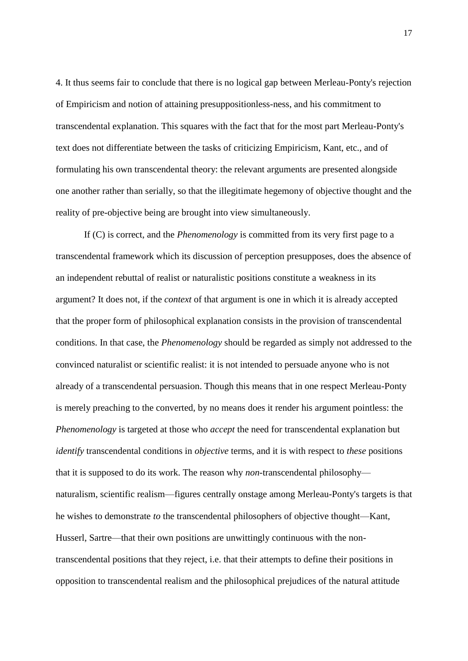4. It thus seems fair to conclude that there is no logical gap between Merleau-Ponty's rejection of Empiricism and notion of attaining presuppositionless-ness, and his commitment to transcendental explanation. This squares with the fact that for the most part Merleau-Ponty's text does not differentiate between the tasks of criticizing Empiricism, Kant, etc., and of formulating his own transcendental theory: the relevant arguments are presented alongside one another rather than serially, so that the illegitimate hegemony of objective thought and the reality of pre-objective being are brought into view simultaneously.

If (C) is correct, and the *Phenomenology* is committed from its very first page to a transcendental framework which its discussion of perception presupposes, does the absence of an independent rebuttal of realist or naturalistic positions constitute a weakness in its argument? It does not, if the *context* of that argument is one in which it is already accepted that the proper form of philosophical explanation consists in the provision of transcendental conditions. In that case, the *Phenomenology* should be regarded as simply not addressed to the convinced naturalist or scientific realist: it is not intended to persuade anyone who is not already of a transcendental persuasion. Though this means that in one respect Merleau-Ponty is merely preaching to the converted, by no means does it render his argument pointless: the *Phenomenology* is targeted at those who *accept* the need for transcendental explanation but *identify* transcendental conditions in *objective* terms, and it is with respect to *these* positions that it is supposed to do its work. The reason why *non*-transcendental philosophy naturalism, scientific realism—figures centrally onstage among Merleau-Ponty's targets is that he wishes to demonstrate *to* the transcendental philosophers of objective thought—Kant, Husserl, Sartre—that their own positions are unwittingly continuous with the nontranscendental positions that they reject, i.e. that their attempts to define their positions in opposition to transcendental realism and the philosophical prejudices of the natural attitude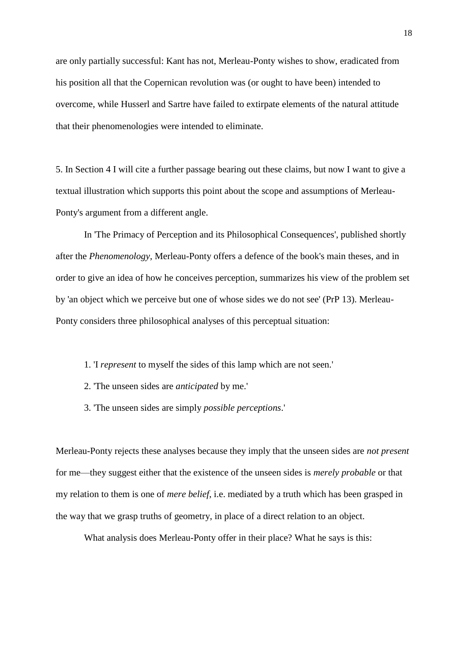are only partially successful: Kant has not, Merleau-Ponty wishes to show, eradicated from his position all that the Copernican revolution was (or ought to have been) intended to overcome, while Husserl and Sartre have failed to extirpate elements of the natural attitude that their phenomenologies were intended to eliminate.

5. In Section 4 I will cite a further passage bearing out these claims, but now I want to give a textual illustration which supports this point about the scope and assumptions of Merleau-Ponty's argument from a different angle.

In 'The Primacy of Perception and its Philosophical Consequences', published shortly after the *Phenomenology*, Merleau-Ponty offers a defence of the book's main theses, and in order to give an idea of how he conceives perception, summarizes his view of the problem set by 'an object which we perceive but one of whose sides we do not see' (PrP 13). Merleau-Ponty considers three philosophical analyses of this perceptual situation:

- 1. 'I *represent* to myself the sides of this lamp which are not seen.'
- 2. 'The unseen sides are *anticipated* by me.'
- 3. 'The unseen sides are simply *possible perceptions*.'

Merleau-Ponty rejects these analyses because they imply that the unseen sides are *not present*  for me—they suggest either that the existence of the unseen sides is *merely probable* or that my relation to them is one of *mere belief*, i.e. mediated by a truth which has been grasped in the way that we grasp truths of geometry, in place of a direct relation to an object.

What analysis does Merleau-Ponty offer in their place? What he says is this: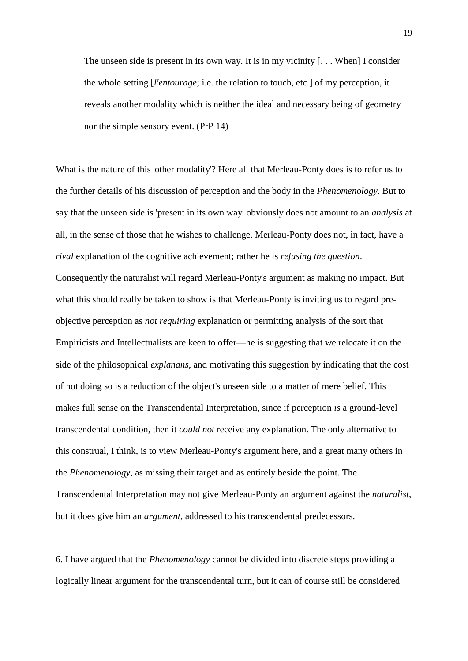The unseen side is present in its own way. It is in my vicinity [. . . When] I consider the whole setting [*l'entourage*; i.e. the relation to touch, etc.] of my perception, it reveals another modality which is neither the ideal and necessary being of geometry nor the simple sensory event. (PrP 14)

What is the nature of this 'other modality'? Here all that Merleau-Ponty does is to refer us to the further details of his discussion of perception and the body in the *Phenomenology*. But to say that the unseen side is 'present in its own way' obviously does not amount to an *analysis* at all, in the sense of those that he wishes to challenge. Merleau-Ponty does not, in fact, have a *rival* explanation of the cognitive achievement; rather he is *refusing the question*. Consequently the naturalist will regard Merleau-Ponty's argument as making no impact. But what this should really be taken to show is that Merleau-Ponty is inviting us to regard preobjective perception as *not requiring* explanation or permitting analysis of the sort that Empiricists and Intellectualists are keen to offer—he is suggesting that we relocate it on the side of the philosophical *explanans*, and motivating this suggestion by indicating that the cost of not doing so is a reduction of the object's unseen side to a matter of mere belief. This makes full sense on the Transcendental Interpretation, since if perception *is* a ground-level transcendental condition, then it *could not* receive any explanation. The only alternative to this construal, I think, is to view Merleau-Ponty's argument here, and a great many others in the *Phenomenology*, as missing their target and as entirely beside the point. The Transcendental Interpretation may not give Merleau-Ponty an argument against the *naturalist*, but it does give him an *argument*, addressed to his transcendental predecessors.

6. I have argued that the *Phenomenology* cannot be divided into discrete steps providing a logically linear argument for the transcendental turn, but it can of course still be considered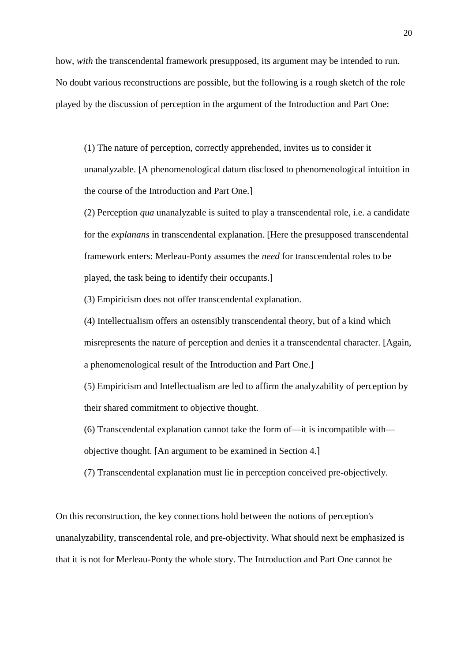how, *with* the transcendental framework presupposed, its argument may be intended to run. No doubt various reconstructions are possible, but the following is a rough sketch of the role played by the discussion of perception in the argument of the Introduction and Part One:

(1) The nature of perception, correctly apprehended, invites us to consider it unanalyzable. [A phenomenological datum disclosed to phenomenological intuition in the course of the Introduction and Part One.]

(2) Perception *qua* unanalyzable is suited to play a transcendental role, i.e. a candidate for the *explanans* in transcendental explanation. [Here the presupposed transcendental framework enters: Merleau-Ponty assumes the *need* for transcendental roles to be played, the task being to identify their occupants.]

(3) Empiricism does not offer transcendental explanation.

(4) Intellectualism offers an ostensibly transcendental theory, but of a kind which misrepresents the nature of perception and denies it a transcendental character. [Again, a phenomenological result of the Introduction and Part One.]

(5) Empiricism and Intellectualism are led to affirm the analyzability of perception by their shared commitment to objective thought.

(6) Transcendental explanation cannot take the form of—it is incompatible with objective thought. [An argument to be examined in Section 4.]

(7) Transcendental explanation must lie in perception conceived pre-objectively.

On this reconstruction, the key connections hold between the notions of perception's unanalyzability, transcendental role, and pre-objectivity. What should next be emphasized is that it is not for Merleau-Ponty the whole story. The Introduction and Part One cannot be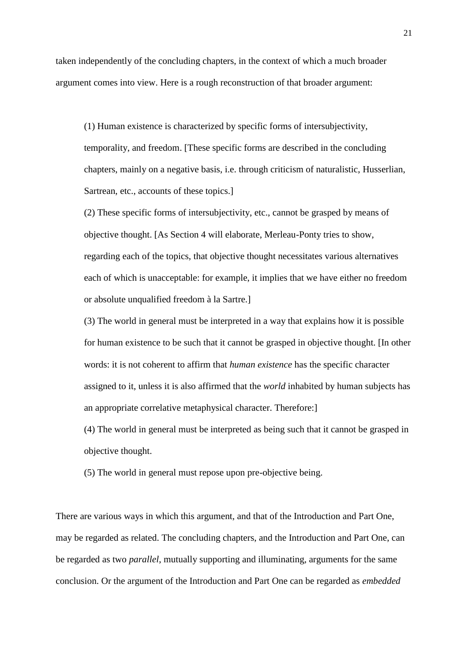taken independently of the concluding chapters, in the context of which a much broader argument comes into view. Here is a rough reconstruction of that broader argument:

(1) Human existence is characterized by specific forms of intersubjectivity, temporality, and freedom. [These specific forms are described in the concluding chapters, mainly on a negative basis, i.e. through criticism of naturalistic, Husserlian, Sartrean, etc., accounts of these topics.

(2) These specific forms of intersubjectivity, etc., cannot be grasped by means of objective thought. [As Section 4 will elaborate, Merleau-Ponty tries to show, regarding each of the topics, that objective thought necessitates various alternatives each of which is unacceptable: for example, it implies that we have either no freedom or absolute unqualified freedom à la Sartre.]

(3) The world in general must be interpreted in a way that explains how it is possible for human existence to be such that it cannot be grasped in objective thought. [In other words: it is not coherent to affirm that *human existence* has the specific character assigned to it, unless it is also affirmed that the *world* inhabited by human subjects has an appropriate correlative metaphysical character. Therefore:]

(4) The world in general must be interpreted as being such that it cannot be grasped in objective thought.

(5) The world in general must repose upon pre-objective being.

There are various ways in which this argument, and that of the Introduction and Part One, may be regarded as related. The concluding chapters, and the Introduction and Part One, can be regarded as two *parallel*, mutually supporting and illuminating, arguments for the same conclusion. Or the argument of the Introduction and Part One can be regarded as *embedded*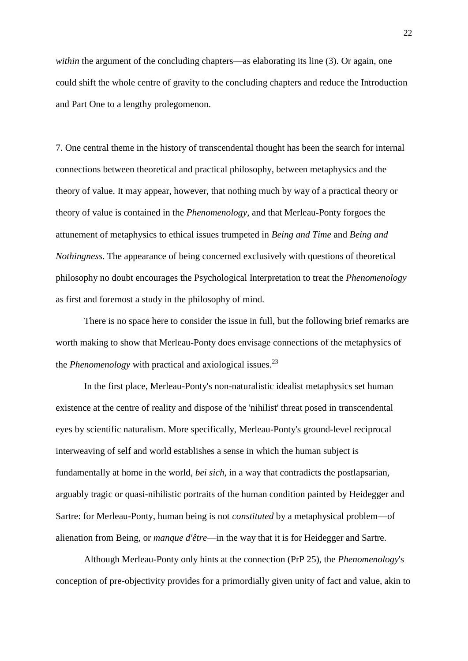*within* the argument of the concluding chapters—as elaborating its line (3). Or again, one could shift the whole centre of gravity to the concluding chapters and reduce the Introduction and Part One to a lengthy prolegomenon.

7. One central theme in the history of transcendental thought has been the search for internal connections between theoretical and practical philosophy, between metaphysics and the theory of value. It may appear, however, that nothing much by way of a practical theory or theory of value is contained in the *Phenomenology*, and that Merleau-Ponty forgoes the attunement of metaphysics to ethical issues trumpeted in *Being and Time* and *Being and Nothingness*. The appearance of being concerned exclusively with questions of theoretical philosophy no doubt encourages the Psychological Interpretation to treat the *Phenomenology* as first and foremost a study in the philosophy of mind.

There is no space here to consider the issue in full, but the following brief remarks are worth making to show that Merleau-Ponty does envisage connections of the metaphysics of the *Phenomenology* with practical and axiological issues.<sup>23</sup>

In the first place, Merleau-Ponty's non-naturalistic idealist metaphysics set human existence at the centre of reality and dispose of the 'nihilist' threat posed in transcendental eyes by scientific naturalism. More specifically, Merleau-Ponty's ground-level reciprocal interweaving of self and world establishes a sense in which the human subject is fundamentally at home in the world, *bei sich*, in a way that contradicts the postlapsarian, arguably tragic or quasi-nihilistic portraits of the human condition painted by Heidegger and Sartre: for Merleau-Ponty, human being is not *constituted* by a metaphysical problem—of alienation from Being, or *manque d'être*—in the way that it is for Heidegger and Sartre.

Although Merleau-Ponty only hints at the connection (PrP 25), the *Phenomenology*'s conception of pre-objectivity provides for a primordially given unity of fact and value, akin to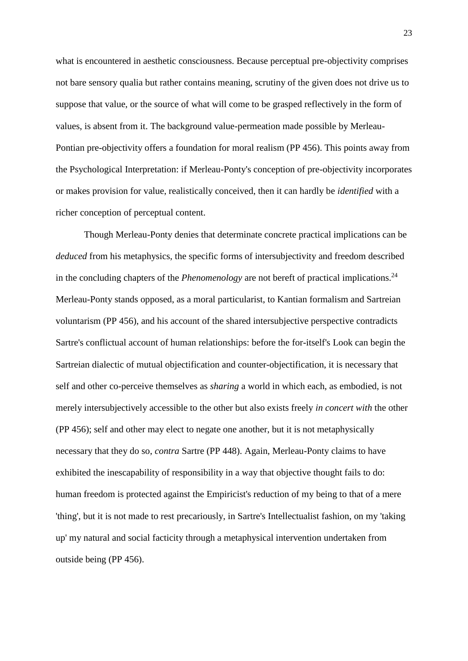what is encountered in aesthetic consciousness. Because perceptual pre-objectivity comprises not bare sensory qualia but rather contains meaning, scrutiny of the given does not drive us to suppose that value, or the source of what will come to be grasped reflectively in the form of values, is absent from it. The background value-permeation made possible by Merleau-Pontian pre-objectivity offers a foundation for moral realism (PP 456). This points away from the Psychological Interpretation: if Merleau-Ponty's conception of pre-objectivity incorporates or makes provision for value, realistically conceived, then it can hardly be *identified* with a richer conception of perceptual content.

Though Merleau-Ponty denies that determinate concrete practical implications can be *deduced* from his metaphysics, the specific forms of intersubjectivity and freedom described in the concluding chapters of the *Phenomenology* are not bereft of practical implications.<sup>24</sup> Merleau-Ponty stands opposed, as a moral particularist, to Kantian formalism and Sartreian voluntarism (PP 456), and his account of the shared intersubjective perspective contradicts Sartre's conflictual account of human relationships: before the for-itself's Look can begin the Sartreian dialectic of mutual objectification and counter-objectification, it is necessary that self and other co-perceive themselves as *sharing* a world in which each, as embodied, is not merely intersubjectively accessible to the other but also exists freely *in concert with* the other (PP 456); self and other may elect to negate one another, but it is not metaphysically necessary that they do so, *contra* Sartre (PP 448). Again, Merleau-Ponty claims to have exhibited the inescapability of responsibility in a way that objective thought fails to do: human freedom is protected against the Empiricist's reduction of my being to that of a mere 'thing', but it is not made to rest precariously, in Sartre's Intellectualist fashion, on my 'taking up' my natural and social facticity through a metaphysical intervention undertaken from outside being (PP 456).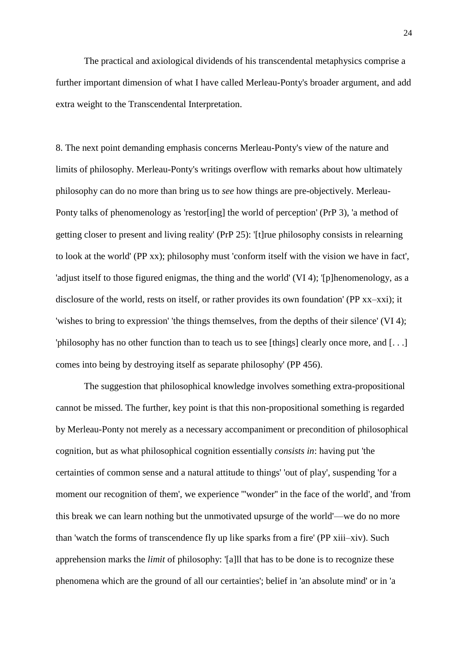The practical and axiological dividends of his transcendental metaphysics comprise a further important dimension of what I have called Merleau-Ponty's broader argument, and add extra weight to the Transcendental Interpretation.

8. The next point demanding emphasis concerns Merleau-Ponty's view of the nature and limits of philosophy. Merleau-Ponty's writings overflow with remarks about how ultimately philosophy can do no more than bring us to *see* how things are pre-objectively. Merleau-Ponty talks of phenomenology as 'restor[ing] the world of perception' (PrP 3), 'a method of getting closer to present and living reality' (PrP 25): '[t]rue philosophy consists in relearning to look at the world' (PP xx); philosophy must 'conform itself with the vision we have in fact', 'adjust itself to those figured enigmas, the thing and the world' (VI 4); '[p]henomenology, as a disclosure of the world, rests on itself, or rather provides its own foundation' (PP xx–xxi); it 'wishes to bring to expression' 'the things themselves, from the depths of their silence' (VI 4); 'philosophy has no other function than to teach us to see [things] clearly once more, and [. . .] comes into being by destroying itself as separate philosophy' (PP 456).

The suggestion that philosophical knowledge involves something extra-propositional cannot be missed. The further, key point is that this non-propositional something is regarded by Merleau-Ponty not merely as a necessary accompaniment or precondition of philosophical cognition, but as what philosophical cognition essentially *consists in*: having put 'the certainties of common sense and a natural attitude to things' 'out of play', suspending 'for a moment our recognition of them', we experience '''wonder'' in the face of the world', and 'from this break we can learn nothing but the unmotivated upsurge of the world'—we do no more than 'watch the forms of transcendence fly up like sparks from a fire' (PP xiii–xiv). Such apprehension marks the *limit* of philosophy: '[a]ll that has to be done is to recognize these phenomena which are the ground of all our certainties'; belief in 'an absolute mind' or in 'a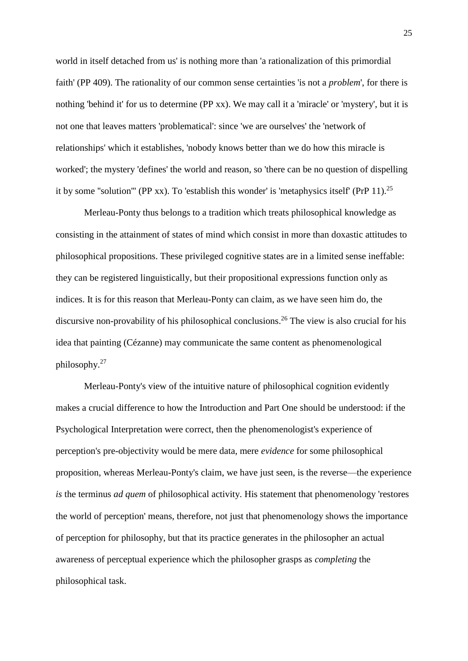world in itself detached from us' is nothing more than 'a rationalization of this primordial faith' (PP 409). The rationality of our common sense certainties 'is not a *problem*', for there is nothing 'behind it' for us to determine (PP xx). We may call it a 'miracle' or 'mystery', but it is not one that leaves matters 'problematical': since 'we are ourselves' the 'network of relationships' which it establishes, 'nobody knows better than we do how this miracle is worked'; the mystery 'defines' the world and reason, so 'there can be no question of dispelling it by some "solution"' (PP xx). To 'establish this wonder' is 'metaphysics itself' (PrP 11).<sup>25</sup>

Merleau-Ponty thus belongs to a tradition which treats philosophical knowledge as consisting in the attainment of states of mind which consist in more than doxastic attitudes to philosophical propositions. These privileged cognitive states are in a limited sense ineffable: they can be registered linguistically, but their propositional expressions function only as indices. It is for this reason that Merleau-Ponty can claim, as we have seen him do, the discursive non-provability of his philosophical conclusions.<sup>26</sup> The view is also crucial for his idea that painting (Cézanne) may communicate the same content as phenomenological philosophy.<sup>27</sup>

Merleau-Ponty's view of the intuitive nature of philosophical cognition evidently makes a crucial difference to how the Introduction and Part One should be understood: if the Psychological Interpretation were correct, then the phenomenologist's experience of perception's pre-objectivity would be mere data, mere *evidence* for some philosophical proposition, whereas Merleau-Ponty's claim, we have just seen, is the reverse—the experience *is* the terminus *ad quem* of philosophical activity. His statement that phenomenology 'restores the world of perception' means, therefore, not just that phenomenology shows the importance of perception for philosophy, but that its practice generates in the philosopher an actual awareness of perceptual experience which the philosopher grasps as *completing* the philosophical task.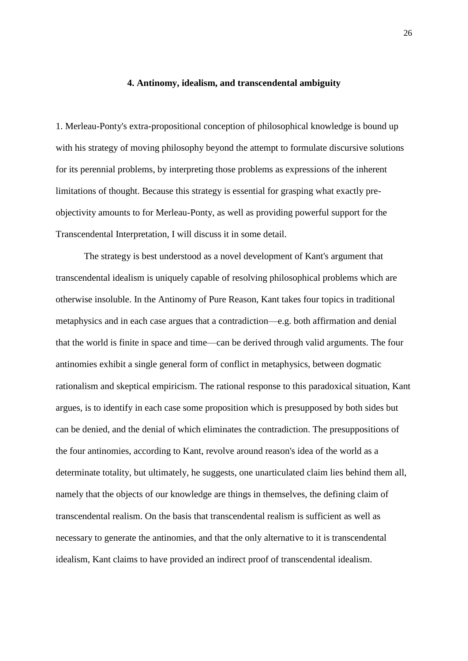#### **4. Antinomy, idealism, and transcendental ambiguity**

1. Merleau-Ponty's extra-propositional conception of philosophical knowledge is bound up with his strategy of moving philosophy beyond the attempt to formulate discursive solutions for its perennial problems, by interpreting those problems as expressions of the inherent limitations of thought. Because this strategy is essential for grasping what exactly preobjectivity amounts to for Merleau-Ponty, as well as providing powerful support for the Transcendental Interpretation, I will discuss it in some detail.

The strategy is best understood as a novel development of Kant's argument that transcendental idealism is uniquely capable of resolving philosophical problems which are otherwise insoluble. In the Antinomy of Pure Reason, Kant takes four topics in traditional metaphysics and in each case argues that a contradiction—e.g. both affirmation and denial that the world is finite in space and time—can be derived through valid arguments. The four antinomies exhibit a single general form of conflict in metaphysics, between dogmatic rationalism and skeptical empiricism. The rational response to this paradoxical situation, Kant argues, is to identify in each case some proposition which is presupposed by both sides but can be denied, and the denial of which eliminates the contradiction. The presuppositions of the four antinomies, according to Kant, revolve around reason's idea of the world as a determinate totality, but ultimately, he suggests, one unarticulated claim lies behind them all, namely that the objects of our knowledge are things in themselves, the defining claim of transcendental realism. On the basis that transcendental realism is sufficient as well as necessary to generate the antinomies, and that the only alternative to it is transcendental idealism, Kant claims to have provided an indirect proof of transcendental idealism.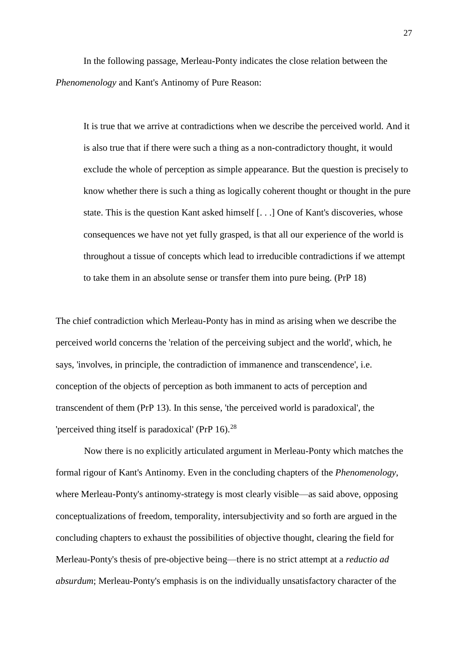In the following passage, Merleau-Ponty indicates the close relation between the *Phenomenology* and Kant's Antinomy of Pure Reason:

It is true that we arrive at contradictions when we describe the perceived world. And it is also true that if there were such a thing as a non-contradictory thought, it would exclude the whole of perception as simple appearance. But the question is precisely to know whether there is such a thing as logically coherent thought or thought in the pure state. This is the question Kant asked himself [. . .] One of Kant's discoveries, whose consequences we have not yet fully grasped, is that all our experience of the world is throughout a tissue of concepts which lead to irreducible contradictions if we attempt to take them in an absolute sense or transfer them into pure being. (PrP 18)

The chief contradiction which Merleau-Ponty has in mind as arising when we describe the perceived world concerns the 'relation of the perceiving subject and the world', which, he says, 'involves, in principle, the contradiction of immanence and transcendence', i.e. conception of the objects of perception as both immanent to acts of perception and transcendent of them (PrP 13). In this sense, 'the perceived world is paradoxical', the 'perceived thing itself is paradoxical' ( $PrP 16$ ).<sup>28</sup>

Now there is no explicitly articulated argument in Merleau-Ponty which matches the formal rigour of Kant's Antinomy. Even in the concluding chapters of the *Phenomenology*, where Merleau-Ponty's antinomy-strategy is most clearly visible—as said above, opposing conceptualizations of freedom, temporality, intersubjectivity and so forth are argued in the concluding chapters to exhaust the possibilities of objective thought, clearing the field for Merleau-Ponty's thesis of pre-objective being—there is no strict attempt at a *reductio ad absurdum*; Merleau-Ponty's emphasis is on the individually unsatisfactory character of the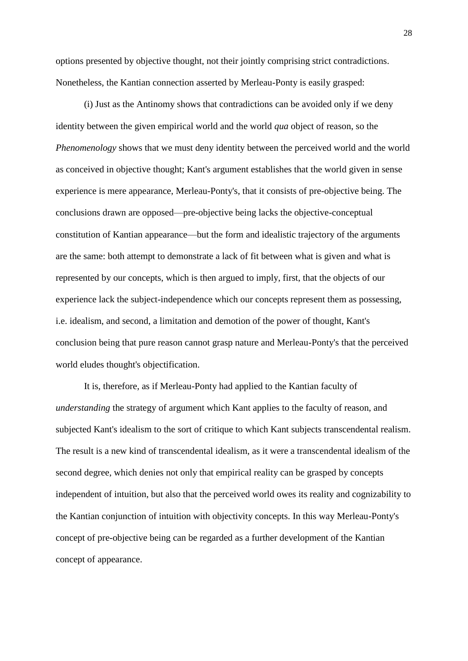options presented by objective thought, not their jointly comprising strict contradictions. Nonetheless, the Kantian connection asserted by Merleau-Ponty is easily grasped:

(i) Just as the Antinomy shows that contradictions can be avoided only if we deny identity between the given empirical world and the world *qua* object of reason, so the *Phenomenology* shows that we must deny identity between the perceived world and the world as conceived in objective thought; Kant's argument establishes that the world given in sense experience is mere appearance, Merleau-Ponty's, that it consists of pre-objective being. The conclusions drawn are opposed—pre-objective being lacks the objective-conceptual constitution of Kantian appearance—but the form and idealistic trajectory of the arguments are the same: both attempt to demonstrate a lack of fit between what is given and what is represented by our concepts, which is then argued to imply, first, that the objects of our experience lack the subject-independence which our concepts represent them as possessing, i.e. idealism, and second, a limitation and demotion of the power of thought, Kant's conclusion being that pure reason cannot grasp nature and Merleau-Ponty's that the perceived world eludes thought's objectification.

It is, therefore, as if Merleau-Ponty had applied to the Kantian faculty of *understanding* the strategy of argument which Kant applies to the faculty of reason, and subjected Kant's idealism to the sort of critique to which Kant subjects transcendental realism. The result is a new kind of transcendental idealism, as it were a transcendental idealism of the second degree, which denies not only that empirical reality can be grasped by concepts independent of intuition, but also that the perceived world owes its reality and cognizability to the Kantian conjunction of intuition with objectivity concepts. In this way Merleau-Ponty's concept of pre-objective being can be regarded as a further development of the Kantian concept of appearance.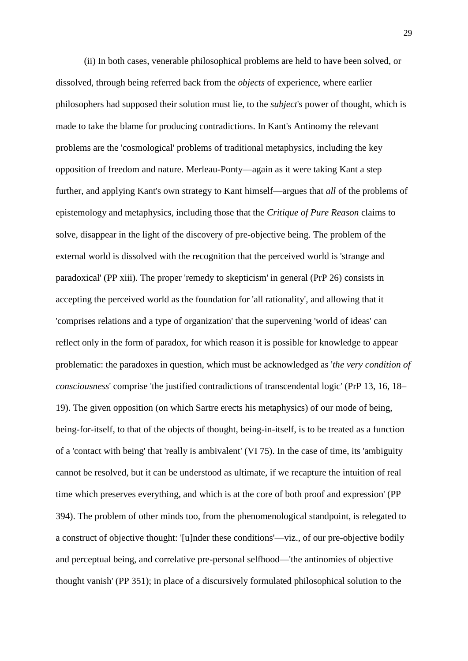(ii) In both cases, venerable philosophical problems are held to have been solved, or dissolved, through being referred back from the *objects* of experience, where earlier philosophers had supposed their solution must lie, to the *subject*'s power of thought, which is made to take the blame for producing contradictions. In Kant's Antinomy the relevant problems are the 'cosmological' problems of traditional metaphysics, including the key opposition of freedom and nature. Merleau-Ponty—again as it were taking Kant a step further, and applying Kant's own strategy to Kant himself—argues that *all* of the problems of epistemology and metaphysics, including those that the *Critique of Pure Reason* claims to solve, disappear in the light of the discovery of pre-objective being. The problem of the external world is dissolved with the recognition that the perceived world is 'strange and paradoxical' (PP xiii). The proper 'remedy to skepticism' in general (PrP 26) consists in accepting the perceived world as the foundation for 'all rationality', and allowing that it 'comprises relations and a type of organization' that the supervening 'world of ideas' can reflect only in the form of paradox, for which reason it is possible for knowledge to appear problematic: the paradoxes in question, which must be acknowledged as '*the very condition of consciousness*' comprise 'the justified contradictions of transcendental logic' (PrP 13, 16, 18– 19). The given opposition (on which Sartre erects his metaphysics) of our mode of being, being-for-itself, to that of the objects of thought, being-in-itself, is to be treated as a function of a 'contact with being' that 'really is ambivalent' (VI 75). In the case of time, its 'ambiguity cannot be resolved, but it can be understood as ultimate, if we recapture the intuition of real time which preserves everything, and which is at the core of both proof and expression' (PP 394). The problem of other minds too, from the phenomenological standpoint, is relegated to a construct of objective thought: '[u]nder these conditions'—viz., of our pre-objective bodily and perceptual being, and correlative pre-personal selfhood—'the antinomies of objective thought vanish' (PP 351); in place of a discursively formulated philosophical solution to the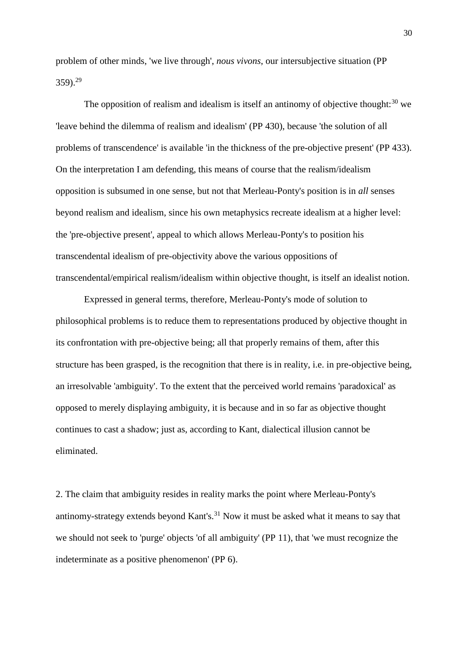problem of other minds, 'we live through', *nous vivons*, our intersubjective situation (PP  $359.29$ 

The opposition of realism and idealism is itself an antinomy of objective thought: $30$  we 'leave behind the dilemma of realism and idealism' (PP 430), because 'the solution of all problems of transcendence' is available 'in the thickness of the pre-objective present' (PP 433). On the interpretation I am defending, this means of course that the realism/idealism opposition is subsumed in one sense, but not that Merleau-Ponty's position is in *all* senses beyond realism and idealism, since his own metaphysics recreate idealism at a higher level: the 'pre-objective present', appeal to which allows Merleau-Ponty's to position his transcendental idealism of pre-objectivity above the various oppositions of transcendental/empirical realism/idealism within objective thought, is itself an idealist notion.

Expressed in general terms, therefore, Merleau-Ponty's mode of solution to philosophical problems is to reduce them to representations produced by objective thought in its confrontation with pre-objective being; all that properly remains of them, after this structure has been grasped, is the recognition that there is in reality, i.e. in pre-objective being, an irresolvable 'ambiguity'. To the extent that the perceived world remains 'paradoxical' as opposed to merely displaying ambiguity, it is because and in so far as objective thought continues to cast a shadow; just as, according to Kant, dialectical illusion cannot be eliminated.

2. The claim that ambiguity resides in reality marks the point where Merleau-Ponty's antinomy-strategy extends beyond Kant's.<sup>31</sup> Now it must be asked what it means to say that we should not seek to 'purge' objects 'of all ambiguity' (PP 11), that 'we must recognize the indeterminate as a positive phenomenon' (PP 6).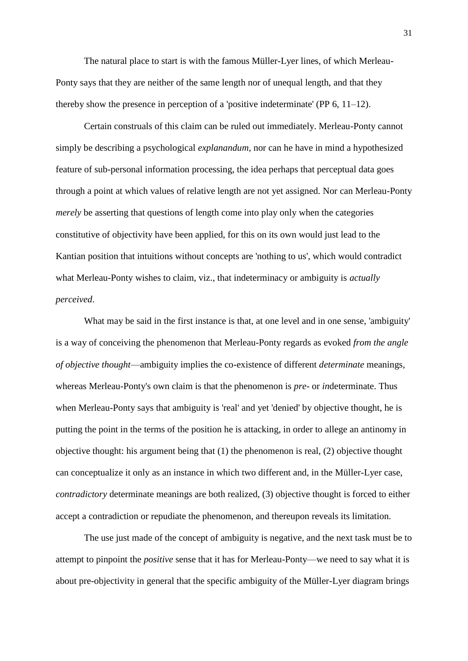The natural place to start is with the famous Müller-Lyer lines, of which Merleau-Ponty says that they are neither of the same length nor of unequal length, and that they thereby show the presence in perception of a 'positive indeterminate' (PP 6, 11–12).

Certain construals of this claim can be ruled out immediately. Merleau-Ponty cannot simply be describing a psychological *explanandum*, nor can he have in mind a hypothesized feature of sub-personal information processing, the idea perhaps that perceptual data goes through a point at which values of relative length are not yet assigned. Nor can Merleau-Ponty *merely* be asserting that questions of length come into play only when the categories constitutive of objectivity have been applied, for this on its own would just lead to the Kantian position that intuitions without concepts are 'nothing to us', which would contradict what Merleau-Ponty wishes to claim, viz., that indeterminacy or ambiguity is *actually perceived*.

What may be said in the first instance is that, at one level and in one sense, 'ambiguity' is a way of conceiving the phenomenon that Merleau-Ponty regards as evoked *from the angle of objective thought*—ambiguity implies the co-existence of different *determinate* meanings, whereas Merleau-Ponty's own claim is that the phenomenon is *pre*- or *in*determinate. Thus when Merleau-Ponty says that ambiguity is 'real' and yet 'denied' by objective thought, he is putting the point in the terms of the position he is attacking, in order to allege an antinomy in objective thought: his argument being that (1) the phenomenon is real, (2) objective thought can conceptualize it only as an instance in which two different and, in the Müller-Lyer case, *contradictory* determinate meanings are both realized, (3) objective thought is forced to either accept a contradiction or repudiate the phenomenon, and thereupon reveals its limitation.

The use just made of the concept of ambiguity is negative, and the next task must be to attempt to pinpoint the *positive* sense that it has for Merleau-Ponty—we need to say what it is about pre-objectivity in general that the specific ambiguity of the Müller-Lyer diagram brings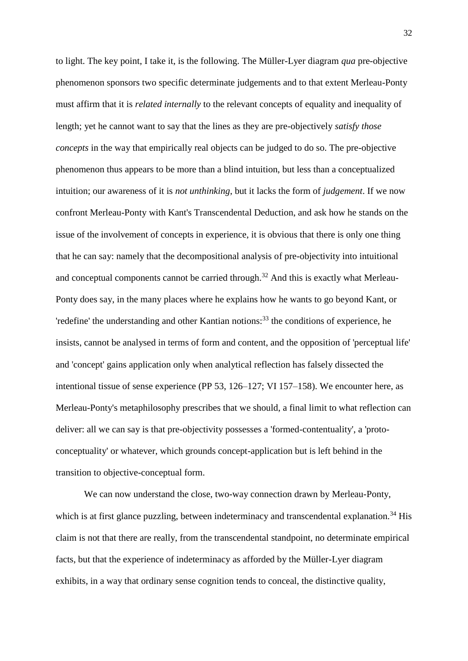to light. The key point, I take it, is the following. The Müller-Lyer diagram *qua* pre-objective phenomenon sponsors two specific determinate judgements and to that extent Merleau-Ponty must affirm that it is *related internally* to the relevant concepts of equality and inequality of length; yet he cannot want to say that the lines as they are pre-objectively *satisfy those concepts* in the way that empirically real objects can be judged to do so. The pre-objective phenomenon thus appears to be more than a blind intuition, but less than a conceptualized intuition; our awareness of it is *not unthinking*, but it lacks the form of *judgement*. If we now confront Merleau-Ponty with Kant's Transcendental Deduction, and ask how he stands on the issue of the involvement of concepts in experience, it is obvious that there is only one thing that he can say: namely that the decompositional analysis of pre-objectivity into intuitional and conceptual components cannot be carried through.<sup>32</sup> And this is exactly what Merleau-Ponty does say, in the many places where he explains how he wants to go beyond Kant, or  $T$ redefine' the understanding and other Kantian notions:<sup>33</sup> the conditions of experience, he insists, cannot be analysed in terms of form and content, and the opposition of 'perceptual life' and 'concept' gains application only when analytical reflection has falsely dissected the intentional tissue of sense experience (PP 53, 126–127; VI 157–158). We encounter here, as Merleau-Ponty's metaphilosophy prescribes that we should, a final limit to what reflection can deliver: all we can say is that pre-objectivity possesses a 'formed-contentuality', a 'protoconceptuality' or whatever, which grounds concept-application but is left behind in the transition to objective-conceptual form.

We can now understand the close, two-way connection drawn by Merleau-Ponty, which is at first glance puzzling, between indeterminacy and transcendental explanation.<sup>34</sup> His claim is not that there are really, from the transcendental standpoint, no determinate empirical facts, but that the experience of indeterminacy as afforded by the Müller-Lyer diagram exhibits, in a way that ordinary sense cognition tends to conceal, the distinctive quality,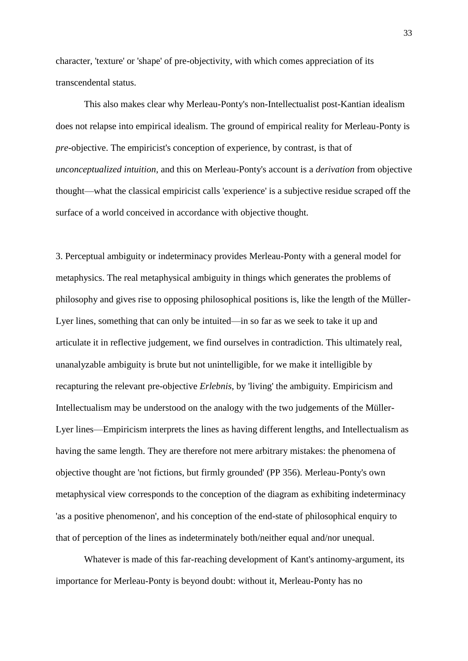character, 'texture' or 'shape' of pre-objectivity, with which comes appreciation of its transcendental status.

This also makes clear why Merleau-Ponty's non-Intellectualist post-Kantian idealism does not relapse into empirical idealism. The ground of empirical reality for Merleau-Ponty is *pre*-objective. The empiricist's conception of experience, by contrast, is that of *unconceptualized intuition*, and this on Merleau-Ponty's account is a *derivation* from objective thought—what the classical empiricist calls 'experience' is a subjective residue scraped off the surface of a world conceived in accordance with objective thought.

3. Perceptual ambiguity or indeterminacy provides Merleau-Ponty with a general model for metaphysics. The real metaphysical ambiguity in things which generates the problems of philosophy and gives rise to opposing philosophical positions is, like the length of the Müller-Lyer lines, something that can only be intuited—in so far as we seek to take it up and articulate it in reflective judgement, we find ourselves in contradiction. This ultimately real, unanalyzable ambiguity is brute but not unintelligible, for we make it intelligible by recapturing the relevant pre-objective *Erlebnis*, by 'living' the ambiguity. Empiricism and Intellectualism may be understood on the analogy with the two judgements of the Müller-Lyer lines—Empiricism interprets the lines as having different lengths, and Intellectualism as having the same length. They are therefore not mere arbitrary mistakes: the phenomena of objective thought are 'not fictions, but firmly grounded' (PP 356). Merleau-Ponty's own metaphysical view corresponds to the conception of the diagram as exhibiting indeterminacy 'as a positive phenomenon', and his conception of the end-state of philosophical enquiry to that of perception of the lines as indeterminately both/neither equal and/nor unequal.

Whatever is made of this far-reaching development of Kant's antinomy-argument, its importance for Merleau-Ponty is beyond doubt: without it, Merleau-Ponty has no

33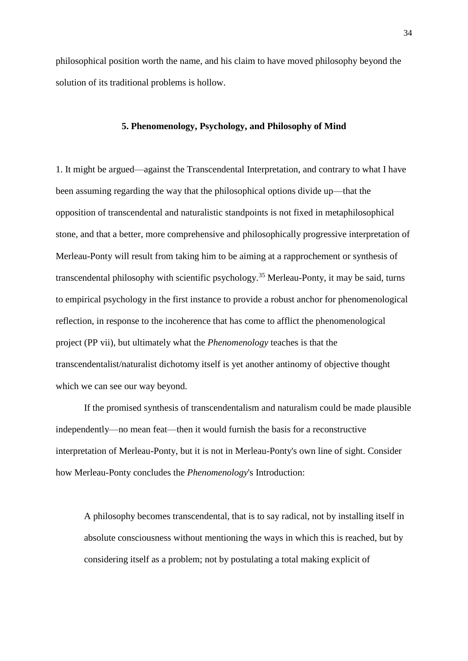philosophical position worth the name, and his claim to have moved philosophy beyond the solution of its traditional problems is hollow.

# **5. Phenomenology, Psychology, and Philosophy of Mind**

1. It might be argued—against the Transcendental Interpretation, and contrary to what I have been assuming regarding the way that the philosophical options divide up—that the opposition of transcendental and naturalistic standpoints is not fixed in metaphilosophical stone, and that a better, more comprehensive and philosophically progressive interpretation of Merleau-Ponty will result from taking him to be aiming at a rapprochement or synthesis of transcendental philosophy with scientific psychology.<sup>35</sup> Merleau-Ponty, it may be said, turns to empirical psychology in the first instance to provide a robust anchor for phenomenological reflection, in response to the incoherence that has come to afflict the phenomenological project (PP vii), but ultimately what the *Phenomenology* teaches is that the transcendentalist/naturalist dichotomy itself is yet another antinomy of objective thought which we can see our way beyond.

If the promised synthesis of transcendentalism and naturalism could be made plausible independently—no mean feat—then it would furnish the basis for a reconstructive interpretation of Merleau-Ponty, but it is not in Merleau-Ponty's own line of sight. Consider how Merleau-Ponty concludes the *Phenomenology*'s Introduction:

A philosophy becomes transcendental, that is to say radical, not by installing itself in absolute consciousness without mentioning the ways in which this is reached, but by considering itself as a problem; not by postulating a total making explicit of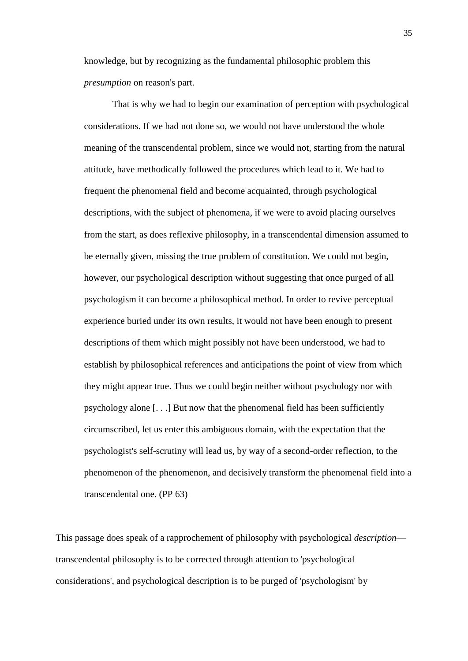knowledge, but by recognizing as the fundamental philosophic problem this *presumption* on reason's part.

That is why we had to begin our examination of perception with psychological considerations. If we had not done so, we would not have understood the whole meaning of the transcendental problem, since we would not, starting from the natural attitude, have methodically followed the procedures which lead to it. We had to frequent the phenomenal field and become acquainted, through psychological descriptions, with the subject of phenomena, if we were to avoid placing ourselves from the start, as does reflexive philosophy, in a transcendental dimension assumed to be eternally given, missing the true problem of constitution. We could not begin, however, our psychological description without suggesting that once purged of all psychologism it can become a philosophical method. In order to revive perceptual experience buried under its own results, it would not have been enough to present descriptions of them which might possibly not have been understood, we had to establish by philosophical references and anticipations the point of view from which they might appear true. Thus we could begin neither without psychology nor with psychology alone [. . .] But now that the phenomenal field has been sufficiently circumscribed, let us enter this ambiguous domain, with the expectation that the psychologist's self-scrutiny will lead us, by way of a second-order reflection, to the phenomenon of the phenomenon, and decisively transform the phenomenal field into a transcendental one. (PP 63)

This passage does speak of a rapprochement of philosophy with psychological *description* transcendental philosophy is to be corrected through attention to 'psychological considerations', and psychological description is to be purged of 'psychologism' by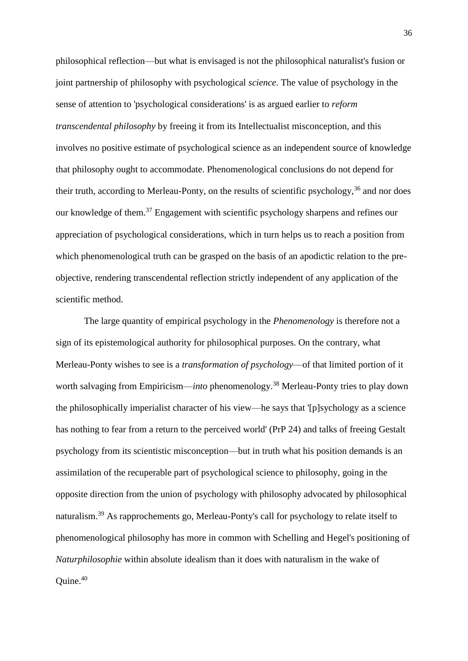philosophical reflection—but what is envisaged is not the philosophical naturalist's fusion or joint partnership of philosophy with psychological *science*. The value of psychology in the sense of attention to 'psychological considerations' is as argued earlier to *reform transcendental philosophy* by freeing it from its Intellectualist misconception, and this involves no positive estimate of psychological science as an independent source of knowledge that philosophy ought to accommodate. Phenomenological conclusions do not depend for their truth, according to Merleau-Ponty, on the results of scientific psychology,<sup>36</sup> and nor does our knowledge of them.<sup>37</sup> Engagement with scientific psychology sharpens and refines our appreciation of psychological considerations, which in turn helps us to reach a position from which phenomenological truth can be grasped on the basis of an apodictic relation to the preobjective, rendering transcendental reflection strictly independent of any application of the scientific method.

The large quantity of empirical psychology in the *Phenomenology* is therefore not a sign of its epistemological authority for philosophical purposes. On the contrary, what Merleau-Ponty wishes to see is a *transformation of psychology*—of that limited portion of it worth salvaging from Empiricism—*into* phenomenology.<sup>38</sup> Merleau-Ponty tries to play down the philosophically imperialist character of his view—he says that '[p]sychology as a science has nothing to fear from a return to the perceived world' (PrP 24) and talks of freeing Gestalt psychology from its scientistic misconception—but in truth what his position demands is an assimilation of the recuperable part of psychological science to philosophy, going in the opposite direction from the union of psychology with philosophy advocated by philosophical naturalism.<sup>39</sup> As rapprochements go, Merleau-Ponty's call for psychology to relate itself to phenomenological philosophy has more in common with Schelling and Hegel's positioning of *Naturphilosophie* within absolute idealism than it does with naturalism in the wake of Quine.<sup>40</sup>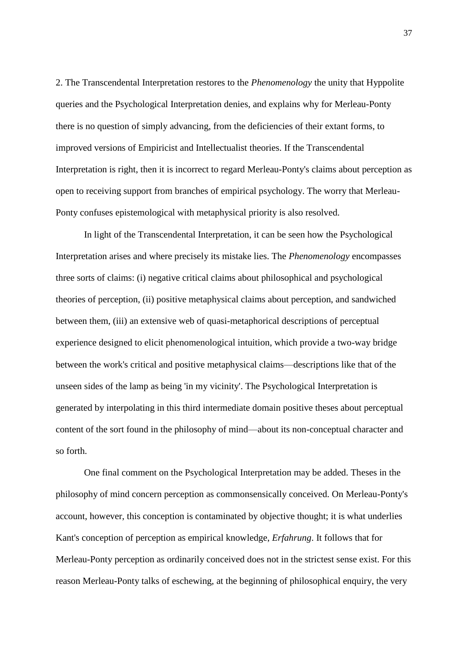2. The Transcendental Interpretation restores to the *Phenomenology* the unity that Hyppolite queries and the Psychological Interpretation denies, and explains why for Merleau-Ponty there is no question of simply advancing, from the deficiencies of their extant forms, to improved versions of Empiricist and Intellectualist theories. If the Transcendental Interpretation is right, then it is incorrect to regard Merleau-Ponty's claims about perception as open to receiving support from branches of empirical psychology. The worry that Merleau-Ponty confuses epistemological with metaphysical priority is also resolved.

In light of the Transcendental Interpretation, it can be seen how the Psychological Interpretation arises and where precisely its mistake lies. The *Phenomenology* encompasses three sorts of claims: (i) negative critical claims about philosophical and psychological theories of perception, (ii) positive metaphysical claims about perception, and sandwiched between them, (iii) an extensive web of quasi-metaphorical descriptions of perceptual experience designed to elicit phenomenological intuition, which provide a two-way bridge between the work's critical and positive metaphysical claims—descriptions like that of the unseen sides of the lamp as being 'in my vicinity'. The Psychological Interpretation is generated by interpolating in this third intermediate domain positive theses about perceptual content of the sort found in the philosophy of mind—about its non-conceptual character and so forth.

One final comment on the Psychological Interpretation may be added. Theses in the philosophy of mind concern perception as commonsensically conceived. On Merleau-Ponty's account, however, this conception is contaminated by objective thought; it is what underlies Kant's conception of perception as empirical knowledge, *Erfahrung*. It follows that for Merleau-Ponty perception as ordinarily conceived does not in the strictest sense exist. For this reason Merleau-Ponty talks of eschewing, at the beginning of philosophical enquiry, the very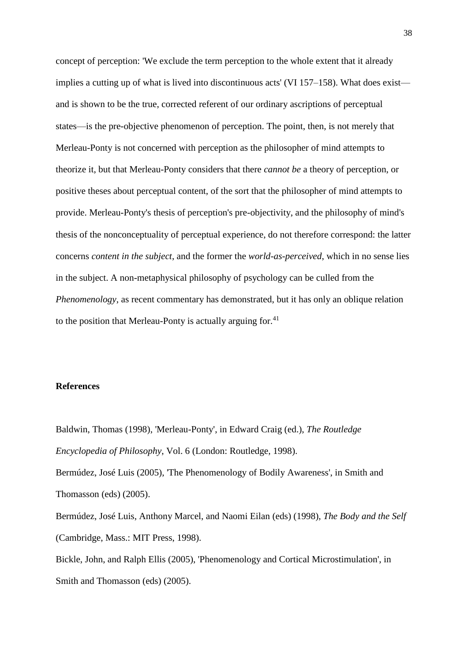concept of perception: 'We exclude the term perception to the whole extent that it already implies a cutting up of what is lived into discontinuous acts' (VI 157–158). What does exist and is shown to be the true, corrected referent of our ordinary ascriptions of perceptual states—is the pre-objective phenomenon of perception. The point, then, is not merely that Merleau-Ponty is not concerned with perception as the philosopher of mind attempts to theorize it, but that Merleau-Ponty considers that there *cannot be* a theory of perception, or positive theses about perceptual content, of the sort that the philosopher of mind attempts to provide. Merleau-Ponty's thesis of perception's pre-objectivity, and the philosophy of mind's thesis of the nonconceptuality of perceptual experience, do not therefore correspond: the latter concerns *content in the subject*, and the former the *world-as-perceived*, which in no sense lies in the subject. A non-metaphysical philosophy of psychology can be culled from the *Phenomenology*, as recent commentary has demonstrated, but it has only an oblique relation to the position that Merleau-Ponty is actually arguing for.<sup>41</sup>

## **References**

Baldwin, Thomas (1998), 'Merleau-Ponty', in Edward Craig (ed.), *The Routledge Encyclopedia of Philosophy*, Vol. 6 (London: Routledge, 1998). Bermúdez, José Luis (2005), 'The Phenomenology of Bodily Awareness', in Smith and Thomasson (eds) (2005). Bermúdez, José Luis, Anthony Marcel, and Naomi Eilan (eds) (1998), *The Body and the Self*

(Cambridge, Mass.: MIT Press, 1998). Bickle, John, and Ralph Ellis (2005), 'Phenomenology and Cortical Microstimulation', in

Smith and Thomasson (eds) (2005).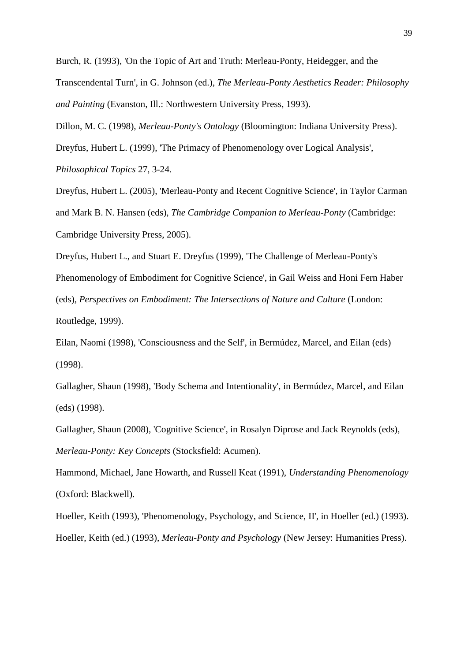Burch, R. (1993), 'On the Topic of Art and Truth: Merleau-Ponty, Heidegger, and the Transcendental Turn', in G. Johnson (ed.), *The Merleau-Ponty Aesthetics Reader: Philosophy and Painting* (Evanston, Ill.: Northwestern University Press, 1993).

Dillon, M. C. (1998), *Merleau-Ponty's Ontology* (Bloomington: Indiana University Press).

Dreyfus, Hubert L. (1999), 'The Primacy of Phenomenology over Logical Analysis', *Philosophical Topics* 27, 3-24.

Dreyfus, Hubert L. (2005), 'Merleau-Ponty and Recent Cognitive Science', in Taylor Carman and Mark B. N. Hansen (eds), *The Cambridge Companion to Merleau-Ponty* (Cambridge: Cambridge University Press, 2005).

Dreyfus, Hubert L., and Stuart E. Dreyfus (1999), 'The Challenge of Merleau-Ponty's Phenomenology of Embodiment for Cognitive Science', in Gail Weiss and Honi Fern Haber (eds), *Perspectives on Embodiment: The Intersections of Nature and Culture* (London: Routledge, 1999).

Eilan, Naomi (1998), 'Consciousness and the Self', in Bermúdez, Marcel, and Eilan (eds) (1998).

Gallagher, Shaun (1998), 'Body Schema and Intentionality', in Bermúdez, Marcel, and Eilan (eds) (1998).

Gallagher, Shaun (2008), 'Cognitive Science', in Rosalyn Diprose and Jack Reynolds (eds), *Merleau-Ponty: Key Concepts* (Stocksfield: Acumen).

Hammond, Michael, Jane Howarth, and Russell Keat (1991), *Understanding Phenomenology* (Oxford: Blackwell).

Hoeller, Keith (1993), 'Phenomenology, Psychology, and Science, II', in Hoeller (ed.) (1993). Hoeller, Keith (ed.) (1993), *Merleau-Ponty and Psychology* (New Jersey: Humanities Press).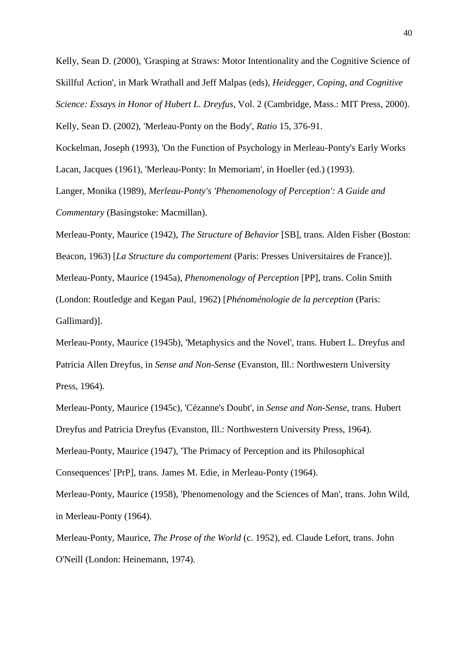Kelly, Sean D. (2000), 'Grasping at Straws: Motor Intentionality and the Cognitive Science of Skillful Action', in Mark Wrathall and Jeff Malpas (eds), *Heidegger, Coping, and Cognitive Science: Essays in Honor of Hubert L. Dreyfus*, Vol. 2 (Cambridge, Mass.: MIT Press, 2000). Kelly, Sean D. (2002), 'Merleau-Ponty on the Body', *Ratio* 15, 376-91.

Kockelman, Joseph (1993), 'On the Function of Psychology in Merleau-Ponty's Early Works Lacan, Jacques (1961), 'Merleau-Ponty: In Memoriam', in Hoeller (ed.) (1993).

Langer, Monika (1989), *Merleau-Ponty's 'Phenomenology of Perception': A Guide and Commentary* (Basingstoke: Macmillan).

Merleau-Ponty, Maurice (1942), *The Structure of Behavior* [SB], trans. Alden Fisher (Boston: Beacon, 1963) [*La Structure du comportement* (Paris: Presses Universitaires de France)]. Merleau-Ponty, Maurice (1945a), *Phenomenology of Perception* [PP], trans. Colin Smith (London: Routledge and Kegan Paul, 1962) [*Phénoménologie de la perception* (Paris: Gallimard)].

Merleau-Ponty, Maurice (1945b), 'Metaphysics and the Novel', trans. Hubert L. Dreyfus and Patricia Allen Dreyfus, in *Sense and Non-Sense* (Evanston, Ill.: Northwestern University Press, 1964).

Merleau-Ponty, Maurice (1945c), 'Cézanne's Doubt', in *Sense and Non-Sense*, trans. Hubert Dreyfus and Patricia Dreyfus (Evanston, Ill.: Northwestern University Press, 1964). Merleau-Ponty, Maurice (1947), 'The Primacy of Perception and its Philosophical Consequences' [PrP], trans. James M. Edie, in Merleau-Ponty (1964).

Merleau-Ponty, Maurice (1958), 'Phenomenology and the Sciences of Man', trans. John Wild, in Merleau-Ponty (1964).

Merleau-Ponty, Maurice, *The Prose of the World* (c. 1952), ed. Claude Lefort, trans. John O'Neill (London: Heinemann, 1974).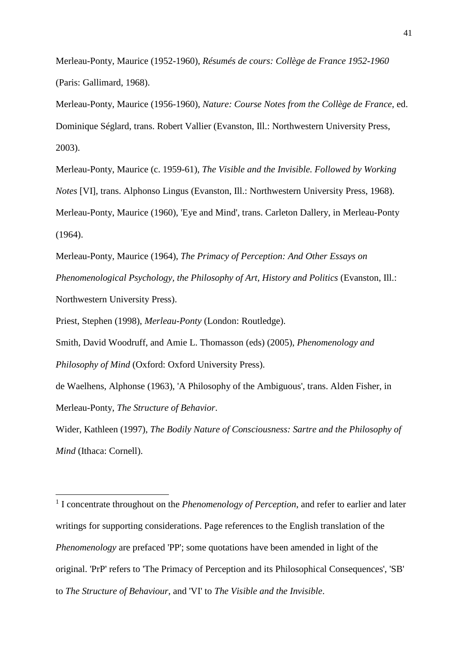Merleau-Ponty, Maurice (1952-1960), *Résumés de cours: Collège de France 1952-1960* (Paris: Gallimard, 1968).

Merleau-Ponty, Maurice (1956-1960), *Nature: Course Notes from the Collège de France*, ed. Dominique Séglard, trans. Robert Vallier (Evanston, Ill.: Northwestern University Press, 2003).

Merleau-Ponty, Maurice (c. 1959-61), *The Visible and the Invisible. Followed by Working Notes* [VI], trans. Alphonso Lingus (Evanston, Ill.: Northwestern University Press, 1968). Merleau-Ponty, Maurice (1960), 'Eye and Mind', trans. Carleton Dallery, in Merleau-Ponty (1964).

Merleau-Ponty, Maurice (1964), *The Primacy of Perception: And Other Essays on Phenomenological Psychology, the Philosophy of Art, History and Politics* (Evanston, Ill.: Northwestern University Press).

Priest, Stephen (1998), *Merleau-Ponty* (London: Routledge).

 $\overline{a}$ 

Smith, David Woodruff, and Amie L. Thomasson (eds) (2005), *Phenomenology and Philosophy of Mind* (Oxford: Oxford University Press).

de Waelhens, Alphonse (1963), 'A Philosophy of the Ambiguous', trans. Alden Fisher, in Merleau-Ponty, *The Structure of Behavior*.

Wider, Kathleen (1997), *The Bodily Nature of Consciousness: Sartre and the Philosophy of Mind* (Ithaca: Cornell).

<sup>1</sup> I concentrate throughout on the *Phenomenology of Perception*, and refer to earlier and later writings for supporting considerations. Page references to the English translation of the *Phenomenology* are prefaced 'PP'; some quotations have been amended in light of the original. 'PrP' refers to 'The Primacy of Perception and its Philosophical Consequences', 'SB' to *The Structure of Behaviour*, and 'VI' to *The Visible and the Invisible*.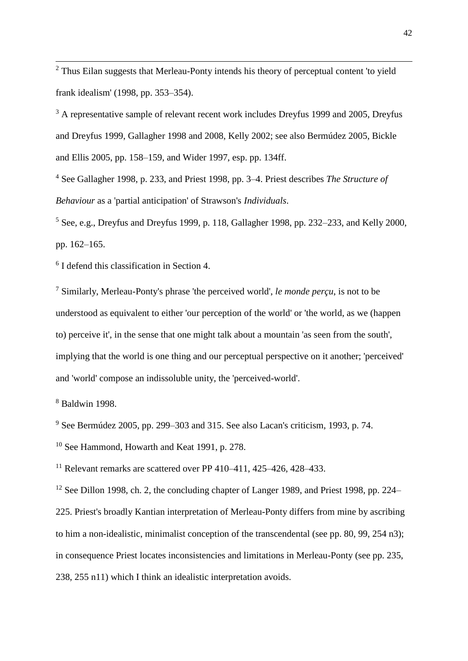<sup>2</sup> Thus Eilan suggests that Merleau-Ponty intends his theory of perceptual content 'to yield frank idealism' (1998, pp. 353–354).

 $3$  A representative sample of relevant recent work includes Dreyfus 1999 and 2005, Dreyfus and Dreyfus 1999, Gallagher 1998 and 2008, Kelly 2002; see also Bermúdez 2005, Bickle and Ellis 2005, pp. 158–159, and Wider 1997, esp. pp. 134ff.

<sup>4</sup> See Gallagher 1998, p. 233, and Priest 1998, pp. 3–4. Priest describes *The Structure of Behaviour* as a 'partial anticipation' of Strawson's *Individuals*.

 $5$  See, e.g., Dreyfus and Dreyfus 1999, p. 118, Gallagher 1998, pp. 232–233, and Kelly 2000, pp. 162–165.

6 I defend this classification in Section 4.

<sup>7</sup> Similarly, Merleau-Ponty's phrase 'the perceived world', *le monde perçu*, is not to be understood as equivalent to either 'our perception of the world' or 'the world, as we (happen to) perceive it', in the sense that one might talk about a mountain 'as seen from the south', implying that the world is one thing and our perceptual perspective on it another; 'perceived' and 'world' compose an indissoluble unity, the 'perceived-world'.

<sup>8</sup> Baldwin 1998.

l

<sup>9</sup> See Bermúdez 2005, pp. 299–303 and 315. See also Lacan's criticism, 1993, p. 74.

<sup>10</sup> See Hammond, Howarth and Keat 1991, p. 278.

<sup>11</sup> Relevant remarks are scattered over PP 410–411, 425–426, 428–433.

<sup>12</sup> See Dillon 1998, ch. 2, the concluding chapter of Langer 1989, and Priest 1998, pp. 224– 225. Priest's broadly Kantian interpretation of Merleau-Ponty differs from mine by ascribing to him a non-idealistic, minimalist conception of the transcendental (see pp. 80, 99, 254 n3); in consequence Priest locates inconsistencies and limitations in Merleau-Ponty (see pp. 235, 238, 255 n11) which I think an idealistic interpretation avoids.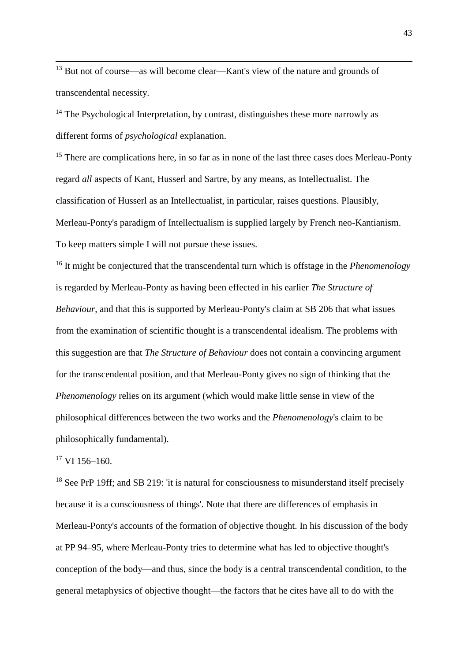<sup>13</sup> But not of course—as will become clear—Kant's view of the nature and grounds of transcendental necessity.

 $14$  The Psychological Interpretation, by contrast, distinguishes these more narrowly as different forms of *psychological* explanation.

<sup>15</sup> There are complications here, in so far as in none of the last three cases does Merleau-Ponty regard *all* aspects of Kant, Husserl and Sartre, by any means, as Intellectualist. The classification of Husserl as an Intellectualist, in particular, raises questions. Plausibly, Merleau-Ponty's paradigm of Intellectualism is supplied largely by French neo-Kantianism. To keep matters simple I will not pursue these issues.

<sup>16</sup> It might be conjectured that the transcendental turn which is offstage in the *Phenomenology* is regarded by Merleau-Ponty as having been effected in his earlier *The Structure of Behaviour*, and that this is supported by Merleau-Ponty's claim at SB 206 that what issues from the examination of scientific thought is a transcendental idealism. The problems with this suggestion are that *The Structure of Behaviour* does not contain a convincing argument for the transcendental position, and that Merleau-Ponty gives no sign of thinking that the *Phenomenology* relies on its argument (which would make little sense in view of the philosophical differences between the two works and the *Phenomenology*'s claim to be philosophically fundamental).

 $17$  VI 156–160.

l

<sup>18</sup> See PrP 19ff; and SB 219: 'it is natural for consciousness to misunderstand itself precisely because it is a consciousness of things'. Note that there are differences of emphasis in Merleau-Ponty's accounts of the formation of objective thought. In his discussion of the body at PP 94–95, where Merleau-Ponty tries to determine what has led to objective thought's conception of the body—and thus, since the body is a central transcendental condition, to the general metaphysics of objective thought—the factors that he cites have all to do with the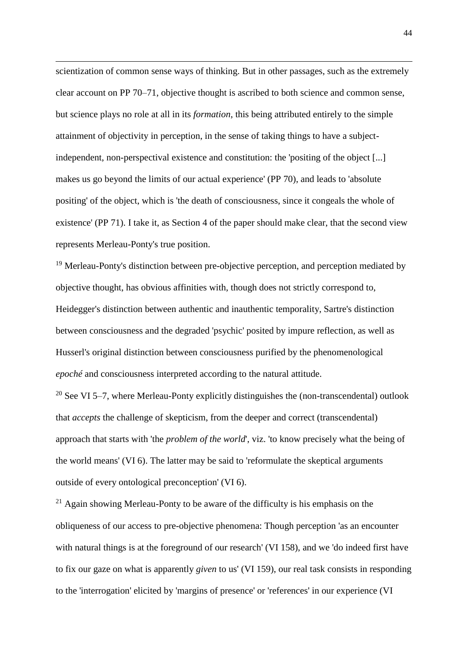scientization of common sense ways of thinking. But in other passages, such as the extremely clear account on PP 70–71, objective thought is ascribed to both science and common sense, but science plays no role at all in its *formation*, this being attributed entirely to the simple attainment of objectivity in perception, in the sense of taking things to have a subjectindependent, non-perspectival existence and constitution: the 'positing of the object [...] makes us go beyond the limits of our actual experience' (PP 70), and leads to 'absolute positing' of the object, which is 'the death of consciousness, since it congeals the whole of existence' (PP 71). I take it, as Section 4 of the paper should make clear, that the second view represents Merleau-Ponty's true position.

l

<sup>19</sup> Merleau-Ponty's distinction between pre-objective perception, and perception mediated by objective thought, has obvious affinities with, though does not strictly correspond to, Heidegger's distinction between authentic and inauthentic temporality, Sartre's distinction between consciousness and the degraded 'psychic' posited by impure reflection, as well as Husserl's original distinction between consciousness purified by the phenomenological *epoché* and consciousness interpreted according to the natural attitude.

<sup>20</sup> See VI 5–7, where Merleau-Ponty explicitly distinguishes the (non-transcendental) outlook that *accepts* the challenge of skepticism, from the deeper and correct (transcendental) approach that starts with 'the *problem of the world*', viz. 'to know precisely what the being of the world means' (VI 6). The latter may be said to 'reformulate the skeptical arguments outside of every ontological preconception' (VI 6).

 $21$  Again showing Merleau-Ponty to be aware of the difficulty is his emphasis on the obliqueness of our access to pre-objective phenomena: Though perception 'as an encounter with natural things is at the foreground of our research' (VI 158), and we 'do indeed first have to fix our gaze on what is apparently *given* to us' (VI 159), our real task consists in responding to the 'interrogation' elicited by 'margins of presence' or 'references' in our experience (VI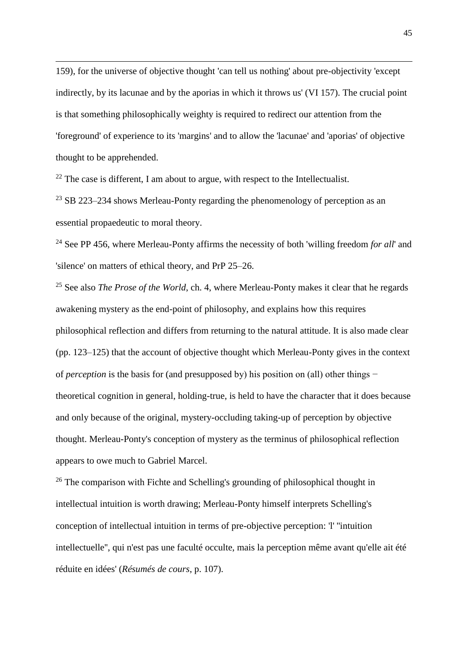159), for the universe of objective thought 'can tell us nothing' about pre-objectivity 'except indirectly, by its lacunae and by the aporias in which it throws us' (VI 157). The crucial point is that something philosophically weighty is required to redirect our attention from the 'foreground' of experience to its 'margins' and to allow the 'lacunae' and 'aporias' of objective thought to be apprehended.

 $22$  The case is different, I am about to argue, with respect to the Intellectualist.

l

 $23$  SB 223–234 shows Merleau-Ponty regarding the phenomenology of perception as an essential propaedeutic to moral theory.

<sup>24</sup> See PP 456, where Merleau-Ponty affirms the necessity of both 'willing freedom *for all*' and 'silence' on matters of ethical theory, and PrP 25–26.

<sup>25</sup> See also *The Prose of the World*, ch. 4, where Merleau-Ponty makes it clear that he regards awakening mystery as the end-point of philosophy, and explains how this requires philosophical reflection and differs from returning to the natural attitude. It is also made clear (pp. 123–125) that the account of objective thought which Merleau-Ponty gives in the context of *perception* is the basis for (and presupposed by) his position on (all) other things − theoretical cognition in general, holding-true, is held to have the character that it does because and only because of the original, mystery-occluding taking-up of perception by objective thought. Merleau-Ponty's conception of mystery as the terminus of philosophical reflection appears to owe much to Gabriel Marcel.

<sup>26</sup> The comparison with Fichte and Schelling's grounding of philosophical thought in intellectual intuition is worth drawing; Merleau-Ponty himself interprets Schelling's conception of intellectual intuition in terms of pre-objective perception: 'l' ''intuition intellectuelle'', qui n'est pas une faculté occulte, mais la perception même avant qu'elle ait été réduite en idées' (*Résumés de cours*, p. 107).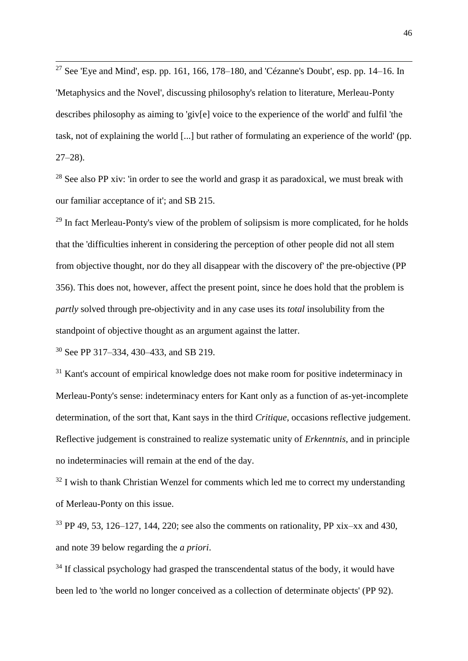<sup>27</sup> See 'Eye and Mind', esp. pp. 161, 166, 178–180, and 'Cézanne's Doubt', esp. pp. 14–16. In 'Metaphysics and the Novel', discussing philosophy's relation to literature, Merleau-Ponty describes philosophy as aiming to 'giv[e] voice to the experience of the world' and fulfil 'the task, not of explaining the world [...] but rather of formulating an experience of the world' (pp. 27–28).

 $28$  See also PP xiv: 'in order to see the world and grasp it as paradoxical, we must break with our familiar acceptance of it'; and SB 215.

 $29$  In fact Merleau-Ponty's view of the problem of solipsism is more complicated, for he holds that the 'difficulties inherent in considering the perception of other people did not all stem from objective thought, nor do they all disappear with the discovery of' the pre-objective (PP 356). This does not, however, affect the present point, since he does hold that the problem is *partly* solved through pre-objectivity and in any case uses its *total* insolubility from the standpoint of objective thought as an argument against the latter.

<sup>30</sup> See PP 317–334, 430–433, and SB 219.

l

<sup>31</sup> Kant's account of empirical knowledge does not make room for positive indeterminacy in Merleau-Ponty's sense: indeterminacy enters for Kant only as a function of as-yet-incomplete determination, of the sort that, Kant says in the third *Critique*, occasions reflective judgement. Reflective judgement is constrained to realize systematic unity of *Erkenntnis*, and in principle no indeterminacies will remain at the end of the day.

 $32$  I wish to thank Christian Wenzel for comments which led me to correct my understanding of Merleau-Ponty on this issue.

 $33$  PP 49, 53, 126–127, 144, 220; see also the comments on rationality, PP xix–xx and 430, and note 39 below regarding the *a priori*.

<sup>34</sup> If classical psychology had grasped the transcendental status of the body, it would have been led to 'the world no longer conceived as a collection of determinate objects' (PP 92).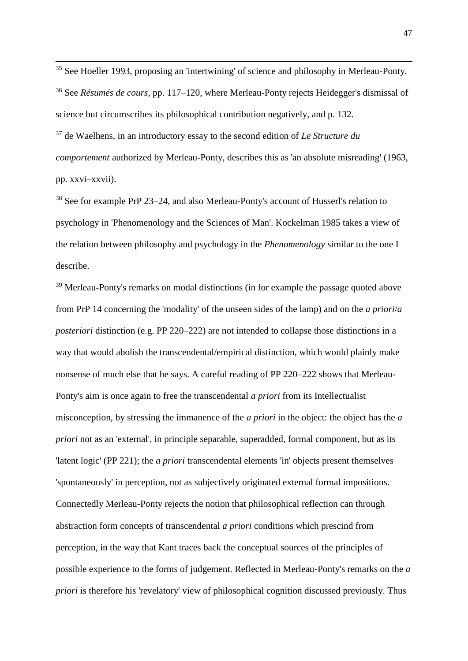<sup>35</sup> See Hoeller 1993, proposing an 'intertwining' of science and philosophy in Merleau-Ponty. <sup>36</sup> See *Résumés de cours*, pp. 117–120, where Merleau-Ponty rejects Heidegger's dismissal of science but circumscribes its philosophical contribution negatively, and p. 132.

l

<sup>37</sup> de Waelhens, in an introductory essay to the second edition of *Le Structure du comportement* authorized by Merleau-Ponty, describes this as 'an absolute misreading' (1963, pp. xxvi–xxvii).

<sup>38</sup> See for example PrP 23–24, and also Merleau-Ponty's account of Husserl's relation to psychology in 'Phenomenology and the Sciences of Man'. Kockelman 1985 takes a view of the relation between philosophy and psychology in the *Phenomenology* similar to the one I describe.

<sup>39</sup> Merleau-Ponty's remarks on modal distinctions (in for example the passage quoted above from PrP 14 concerning the 'modality' of the unseen sides of the lamp) and on the *a priori*/*a posteriori* distinction (e.g. PP 220–222) are not intended to collapse those distinctions in a way that would abolish the transcendental/empirical distinction, which would plainly make nonsense of much else that he says. A careful reading of PP 220–222 shows that Merleau-Ponty's aim is once again to free the transcendental *a priori* from its Intellectualist misconception, by stressing the immanence of the *a priori* in the object: the object has the *a priori* not as an 'external', in principle separable, superadded, formal component, but as its 'latent logic' (PP 221); the *a priori* transcendental elements 'in' objects present themselves 'spontaneously' in perception, not as subjectively originated external formal impositions. Connectedly Merleau-Ponty rejects the notion that philosophical reflection can through abstraction form concepts of transcendental *a priori* conditions which prescind from perception, in the way that Kant traces back the conceptual sources of the principles of possible experience to the forms of judgement. Reflected in Merleau-Ponty's remarks on the *a priori* is therefore his 'revelatory' view of philosophical cognition discussed previously. Thus